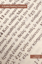# A Graded Reading Companion

Compiled by Gregory C. Wolff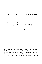# A GRADED READING COMPANION

# Listing verses of the Greek New Testament By order of Frequently Used Words

Compiled by Gregory C. Wolff

All Scripture taken from Nestle-Aland, Novum Testamentum Graece, 28th Revised Edition, edited by Barbara and Kurt Aland, Johannes Karavidopoulos, Carlo M. Martini, and Bruce M. Metzger in cooperation with the Institute for New Testament Textual Research, Münster/Westphalia, © 2012 Deutsche Bibelgesellschaft, Stuttgart. Used by permission.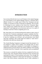# INTRODUCTION

I am convinced that the best way to read Scripture in the original language is to *read Scripture in the original language*. However, sometimes that's difficult, because if we simply open a Greek New Testament and start reading, we encounter too many words that are unfamiliar. This can often be frustrating for newer students of the Greek New Testament. Many times, students may complete their first year of Greek study to "fulfill a requirement" and simply give up on the joyous task (yes, it is a task!) of learning to read God's Word as originally given to us.

But, what if there was a tool that introduced the student to entire verses of the Greek New Testament containing the common vocabulary that firstyear Greek students would be familiar with? Wouldn't it be encouraging to take the vocabulary you *did* know, and read particular verses based upon that vocabulary? This would inspire the student to "stick with it" and build on the skills they already had!

This Graded Reading Companion is designed around that principle. It is not designed to replace Greek reading (even passages that you don't understand), in-depth study, translation or word studies. It is designed to supplement those activities and give the student confidence when learning to read the Greek New Testament—this is a goal that *can* be accomplished!

This resource is intended for students who have completed the first year of Greek study. They should be familiar with all the Greek verb forms and understand the basics of Greek grammar and syntax. Even though this Graded Reading Companion is based upon the frequency of vocabulary, some of the Greek sentence constructions may be either unfamiliar or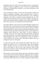#### Introduction

challenging. This is the nature of New Testament Greek. I encourage the student to attempt to translate as much of the text as possible before referring to an English Bible translation (a more literal translation would be most helpful here).

I also encourage the student to work with other students. Nothing can replace the academic exchange of ideas—especially when it comes to translation of the Greek New Testament. Many times, a new (or different) perspective will enable to student to better understand the text. This method also allows students to learn from other students, encourage one another in their studies and grow together in their understanding of God's Word. This could serve as a foundation for life-long learning.

The reader should be aware of how this Graded Reading Companion was constructed. The verses listed in this resource are grouped by frequency of the least frequently used word in the verse, listed in canon order. When determining frequency, proper names and foreign, indeclinable words are excluded. It seems unnecessary to learn these words, as most students can recognize Ἰησοῦς Χριστός as "Jesus Christ," as well as Ἀβραάμ as "Abraham." Likewise, the average student has little problem recognizing the word ἁλληλουϊά as the Greek transliterated form of the Hebrew "Halleluiah! Praise the Lord!" By excluding these words, the number of verses available to us increases, thus, allowing the student more time reading the Greek New Testament!

I've also removed some verses from this list which would not be very helpful. For example, once we exclude proper names, the genealogies found in Matthew and Luke, as well as the lists of the twelve apostles, come to the surface as "easy to read" verses. However, there is little benefit to the student in merely transliterating these names into English. Thus, these have been excluded.

This resource covers all verses that use only those words that are used 50 or more times in the Greek New Testament (roughly the same vocabulary presented in *Beginning with New Testament Greek*). That is a vocabulary of only about 300 words. However, with that vocabulary of 300 words, the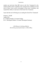#### Introduction

student can read more than 600 verses in the New Testament! As the student reinforces their vocabulary, they will gain more confidence to read more of these verses, and be encouraged to learn more vocabulary, and expand their ability to read more of the Greek New Testament.

I pray that this tool will help get you reading the Greek New Testament!

Gregory C. Wolff August 2021 B. A. Biblical Studies, Covenant College M. A. Theological Studies, Covenant Theological Seminary

> ό δε δίκαιος ἐκ πίστεως ζήσεται διὰ πίστεως γὰρ περιπατοῦμεν, οὐ διὰ εἴδους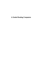A Graded Reading Companion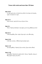#### Matt 10:20

οὐ γὰρ ὑμεῖς ἐστε οἱ λαλοῦντες ἀλλὰ τὸ πνεῦμα τοῦ πατρὸς ὑμῶν τὸ λαλοῦν ἐν ὑμῖν.

#### Matt 16:15

λέγει αὐτοῖς· ὑμεῖς δὲ τίνα με λέγετε εἶναι;

#### Matt 23:1

Τότε ὁ Ἰησοῦς ἐλάλησεν τοῖς ὄχλοις καὶ τοῖς μαθηταῖς αὐτοῦ

#### Matt 25:12

ὁ δὲ ἀποκριθεὶς εἶπεν· ἀμὴν λέγω ὑμῖν, οὐκ οἶδα ὑμᾶς.

#### Mark 10:36

ὁ δὲ εἶπεν αὐτοῖς· τί θέλετέ [με] ποιήσω ὑμῖν;

#### Mark 11:22

καὶ ἀποκριθεὶς ὁ Ἰησοῦς λέγει αὐτοῖς· ἔχετε πίστιν θεοῦ.

#### Mark 12:29

ἀπεκρίθη ὁ Ἰησοῦς ὅτι πρώτη ἐστίν· ἄκουε, Ἰσραήλ, κύριος ὁ θεὸς ἡμῶν κύριος εἷς ἐστιν,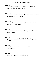### Luke 9:20

εἶπεν δὲ αὐτοῖς· ὑμεῖς δὲ τίνα με λέγετε εἶναι; Πέτρος δὲ ἀποκριθεὶς εἶπεν· τὸν χριστὸν τοῦ θεοῦ.

# Luke 17:26

καὶ καθὼς ἐγένετο ἐν ταῖς ἡμέραις Νῶε, οὕτως ἔσται καὶ ἐν ταῖς ἡμέραις τοῦ υἱοῦ τοῦ ἀνθρώπου·

# Luke 22:67

λέγοντες· εἰ σὺ εἶ ὁ χριστός, εἰπὸν ἡμῖν. εἶπεν δὲ αὐτοῖς· ἐὰν ὑμῖν εἴπω, οὐ μὴ πιστεύσητε·

# John 1:10

ἐν τῷ κόσμῳ ἦν, καὶ ὁ κόσμος δι' αὐτοῦ ἐγένετο, καὶ ὁ κόσμος αὐτὸν οὐκ ἔγνω.

### John 1:44

ἦν δὲ ὁ Φίλιππος ἀπὸ Βηθσαϊδά, ἐκ τῆς πόλεως Ἀνδρέου καὶ Πέτρου.

### John 2:24

αὐτὸς δὲ Ἰησοῦς οὐκ ἐπίστευεν αὐτὸν αὐτοῖς διὰ τὸ αὐτὸν γινώσκειν πάντας

### John 4:26

λέγει αὐτῇ ὁ Ἰησοῦς· ἐγώ εἰμι, ὁ λαλῶν σοι.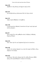### John 4:30

ἐξῆλθον ἐκ τῆς πόλεως καὶ ἤρχοντο πρὸς αὐτόν.

### John 4:41

καὶ πολλῷ πλείους ἐπίστευσαν διὰ τὸν λόγον αὐτοῦ,

### John 5:41

Δόξαν παρὰ ἀνθρώπων οὐ λαμβάνω,

# John 5:46

εἰ γὰρ ἐπιστεύετε Μωϋσεῖ, ἐπιστεύετε ἂν ἐμοί· περὶ γὰρ ἐμοῦ ἐκεῖνος ἔγραψεν.

# John 6:8

λέγει αὐτῷ εἷς ἐκ τῶν μαθητῶν αὐτοῦ, Ἀνδρέας ὁ ἀδελφὸς Σίμωνος Πέτρου·

# John 6:36

Ἀλλ' εἶπον ὑμῖν ὅτι καὶ ἑωράκατέ [με] καὶ οὐ πιστεύετε.

# John 6:46

οὐχ ὅτι τὸν πατέρα ἑώρακέν τις εἰ μὴ ὁ ὢν παρὰ τοῦ θεοῦ, οὗτος ἑώρακεν τὸν πατέρα.

# John 6:65

καὶ ἔλεγεν· διὰ τοῦτο εἴρηκα ὑμῖν ὅτι οὐδεὶς δύναται ἐλθεῖν πρός με ἐὰν μὴ ᾖ δεδομένον αὐτῷ ἐκ τοῦ πατρός.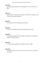### John 6:69

καὶ ἡμεῖς πεπιστεύκαμεν καὶ ἐγνώκαμεν ὅτι σὺ εἶ ὁ ἅγιος τοῦ θεοῦ.

#### John 7:41

ἄλλοι ἔλεγον· οὗτός ἐστιν ὁ χριστός, οἱ δὲ ἔλεγον· μὴ γὰρ ἐκ τῆς Γαλιλαίας ὁ χριστὸς ἔρχεται;

#### John 8:27

οὐκ ἔγνωσαν ὅτι τὸν πατέρα αὐτοῖς ἔλεγεν.

#### John 8:30

Ταῦτα αὐτοῦ λαλοῦντος πολλοὶ ἐπίστευσαν εἰς αὐτόν.

#### John 8:38

ἃ ἐγὼ ἑώρακα παρὰ τῷ πατρὶ λαλῶ· καὶ ὑμεῖς οὖν ἃ ἠκούσατε παρὰ τοῦ πατρὸς ποιεῖτε.

### John 9:33

εἰ μὴ ἦν οὗτος παρὰ θεοῦ, οὐκ ἠδύνατο ποιεῖν οὐδέν.

#### John 9:36

ἀπεκρίθη ἐκεῖνος καὶ εἶπεν· καὶ τίς ἐστιν, κύριε, ἵνα πιστεύσω εἰς αὐτόν;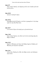#### John 9:37

εἶπεν αὐτῷ ὁ Ἰησοῦς· καὶ ἑώρακας αὐτὸν καὶ ὁ λαλῶν μετὰ σοῦ ἐκεῖνός ἐστιν.

#### John 10:30

ἐγὼ καὶ ὁ πατὴρ ἕν ἐσμεν.

#### John 10:34

ἀπεκρίθη αὐτοῖς [ὁ] Ἰησοῦς· οὐκ ἔστιν γεγραμμένον ἐν τῷ νόμῳ ὑμῶν ὅτι ἐγὼ εἶπα· θεοί ἐστε;

#### John 10:37

εἰ οὐ ποιῶ τὰ ἔργα τοῦ πατρός μου, μὴ πιστεύετέ μοι·

### John 11:40

λέγει αὐτῇ ὁ Ἰησοῦς· οὐκ εἶπόν σοι ὅτι ἐὰν πιστεύσῃς ὄψῃ τὴν δόξαν τοῦ θεοῦ;

#### John 12:22

ἔρχεται ὁ Φίλιππος καὶ λέγει τῷ Ἀνδρέᾳ, ἔρχεται Ἀνδρέας καὶ Φίλιππος καὶ λέγουσιν τῷ Ἰησοῦ.

#### John 12:41

ταῦτα εἶπεν Ἠσαΐας ὅτι εἶδεν τὴν δόξαν αὐτοῦ, καὶ ἐλάλησεν περὶ αὐτοῦ.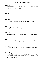#### John 14:11

πιστεύετέ μοι ὅτι ἐγὼ ἐν τῷ πατρὶ καὶ ὁ πατὴρ ἐν ἐμοί· εἰ δὲ μή, διὰ τὰ ἔργα αὐτὰ πιστεύετε.

#### John 16:9

περὶ ἁμαρτίας μέν, ὅτι οὐ πιστεύουσιν εἰς ἐμέ·

#### John 17:16

ἐκ τοῦ κόσμου οὐκ εἰσὶν καθὼς ἐγὼ οὐκ εἰμὶ ἐκ τοῦ κόσμου.

#### John 19:22

ἀπεκρίθη ὁ Πιλᾶτος· ὃ γέγραφα, γέγραφα.

#### John 20:28

ἀπεκρίθη Θωμᾶς καὶ εἶπεν αὐτῷ· ὁ κύριός μου καὶ ὁ θεός μου.

#### John 21:21

τοῦτον οὖν ἰδὼν ὁ Πέτρος λέγει τῷ Ἰησοῦ· κύριε, οὗτος δὲ τί;

#### Acts 4:20

οὐ δυνάμεθα γὰρ ἡμεῖς ἃ εἴδαμεν καὶ ἠκούσαμεν μὴ λαλεῖν.

#### 1 Cor 2:11

τίς γὰρ οἶδεν ἀνθρώπων τὰ τοῦ ἀνθρώπου εἰ μὴ τὸ πνεῦμα τοῦ ἀνθρώπου τὸ ἐν αὐτῷ; οὕτως καὶ τὰ τοῦ θεοῦ οὐδεὶς ἔγνωκεν εἰ μὴ τὸ πνεῦμα τοῦ θεοῦ.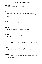### 1 Cor 3:23

ὑμεῖς δὲ Χριστοῦ, Χριστὸς δὲ θεοῦ.

# 1 Cor 8:6

ἀλλ' ἡμῖν εἷς θεὸς ὁ πατὴρ ἐξ οὗ τὰ πάντα καὶ ἡμεῖς εἰς αὐτόν, καὶ εἷς κύριος Ἰησοῦς Χριστὸς δι' οὗ τὰ πάντα καὶ ἡμεῖς δι' αὐτοῦ.

# 1 Cor 9:8

Μὴ κατὰ ἄνθρωπον ταῦτα λαλῶ ἢ καὶ ὁ νόμος ταῦτα οὐ λέγει;

### 1 Cor 11:8

οὐ γάρ ἐστιν ἀνὴρ ἐκ γυναικὸς ἀλλὰ γυνὴ ἐξ ἀνδρός·

# 1 Cor 16:23

ἡ χάρις τοῦ κυρίου Ἰησοῦ μεθ' ὑμῶν.

# Gal 3:26

Πάντες γὰρ υἱοὶ θεοῦ ἐστε διὰ τῆς πίστεως ἐν Χριστῷ Ἰησοῦ·

### Gal 4:21

Λέγετέ μοι, οἱ ὑπὸ νόμον θέλοντες εἶναι, τὸν νόμον οὐκ ἀκούετε;

# Gal 6:18

Ἡ χάρις τοῦ κυρίου ἡμῶν Ἰησοῦ Χριστοῦ μετὰ τοῦ πνεύματος ὑμῶν, ἀδελφοί· ἀμήν.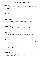### Eph 4:6

εἷς θεὸς καὶ πατὴρ πάντων, ὁ ἐπὶ πάντων καὶ διὰ πάντων καὶ ἐν πᾶσιν.

### Phil 4:23

Ἡ χάρις τοῦ κυρίου Ἰησοῦ Χριστοῦ μετὰ τοῦ πνεύματος ὑμῶν.

#### 1 Thess 5:28

Ἡ χάρις τοῦ κυρίου ἡμῶν Ἰησοῦ Χριστοῦ μεθ' ὑμῶν.

#### 2 Thess 3:18

Ἡ χάρις τοῦ κυρίου ἡμῶν Ἰησοῦ Χριστοῦ μετὰ πάντων ὑμῶν.

#### 2 Tim 4:22

Ὁ κύριος μετὰ τοῦ πνεύματός σου. ἡ χάρις μεθ' ὑμῶν.

#### Phlm 1:25

Ἡ χάρις τοῦ κυρίου Ἰησοῦ Χριστοῦ μετὰ τοῦ πνεύματος ὑμῶν.

### Heb 13:25

Ἡ χάρις μετὰ πάντων ὑμῶν.

### 1 John 4:5

αὐτοὶ ἐκ τοῦ κόσμου εἰσίν, διὰ τοῦτο ἐκ τοῦ κόσμου λαλοῦσιν καὶ ὁ κόσμος αὐτῶν ἀκούει.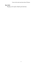# Rev 22:21

Ἡ χάρις τοῦ κυρίου Ἰησοῦ μετὰ πάντων.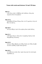#### Matt 2:5

οἱ δὲ εἶπαν αὐτῷ· ἐν Βηθλέεμ τῆς Ἰουδαίας· οὕτως γὰρ γέγραπται διὰ τοῦ προφήτου·

#### Matt 16:16

ἀποκριθεὶς δὲ Σίμων Πέτρος εἶπεν· σὺ εἶ ὁ χριστὸς ὁ υἱὸς τοῦ θεοῦ τοῦ ζῶντος.

#### Matt 20:27

καὶ ὃς ἂν θέλῃ ἐν ὑμῖν εἶναι πρῶτος ἔσται ὑμῶν δοῦλος·

#### Matt 21:11

οἱ δὲ ὄχλοι ἔλεγον· οὗτός ἐστιν ὁ προφήτης Ἰησοῦς ὁ ἀπὸ Ναζαρὲθ τῆς Γαλιλαίας.

#### Matt 22:32

ἐγώ εἰμι ὁ θεὸς Ἀβραὰμ καὶ ὁ θεὸς Ἰσαὰκ καὶ ὁ θεὸς Ἰακώβ; οὐκ ἔστιν [ὁ] θεὸς νεκρῶν ἀλλὰ ζώντων.

#### Matt 26:21

καὶ ἐσθιόντων αὐτῶν εἶπεν· ἀμὴν λέγω ὑμῖν ὅτι εἷς ἐξ ὑμῶν παραδώσει με.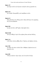#### Mark 1:37

καὶ εὗρον αὐτὸν καὶ λέγουσιν αὐτῷ ὅτι πάντες ζητοῦσίν σε.

#### Mark 3:19

καὶ Ἰούδαν Ἰσκαριώθ, ὃς καὶ παρέδωκεν αὐτόν.

#### Mark 6:15

ἄλλοι δὲ ἔλεγον ὅτι Ἠλίας ἐστίν· ἄλλοι δὲ ἔλεγον ὅτι προφήτης ὡς εἷς τῶν προφητῶν.

#### Mark 9:40

ὃς γὰρ οὐκ ἔστιν καθ' ἡμῶν, ὑπὲρ ἡμῶν ἐστιν.

#### Mark 10:44

καὶ ὃς ἂν θέλῃ ἐν ὑμῖν εἶναι πρῶτος ἔσται πάντων δοῦλος·

#### Mark 11:6

οἱ δὲ εἶπαν αὐτοῖς καθὼς εἶπεν ὁ Ἰησοῦς, καὶ ἀφῆκαν αὐτούς.

#### Luke 5:20

καὶ ἰδὼν τὴν πίστιν αὐτῶν εἶπεν· ἄνθρωπε, ἀφέωνταί σοι αἱ ἁμαρτίαι σου.

### Luke 6:46

Τί δέ με καλεῖτε· κύριε κύριε, καὶ οὐ ποιεῖτε ἃ λέγω;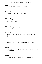#### Luke 7:48

εἶπεν δὲ αὐτῇ· ἀφέωνταί σου αἱ ἁμαρτίαι.

### Luke 15:11

Εἶπεν δέ· ἄνθρωπός τις εἶχεν δύο υἱούς.

#### Luke 16:29

λέγει δὲ Ἀβραάμ· ἔχουσιν Μωϋσέα καὶ τοὺς προφήτας· ἀκουσάτωσαν αὐτῶν.

#### Luke 19:32

Ἀπελθόντες δὲ οἱ ἀπεσταλμένοι εὗρον καθὼς εἶπεν αὐτοῖς.

#### Luke 20:38

θεὸς δὲ οὐκ ἔστιν νεκρῶν ἀλλὰ ζώντων, πάντες γὰρ αὐτῷ ζῶσιν.

#### Luke 20:45

Ἀκούοντος δὲ παντὸς τοῦ λαοῦ εἶπεν τοῖς μαθηταῖς [αὐτοῦ]·

#### Luke 21:10

Τότε ἔλεγεν αὐτοῖς· ἐγερθήσεται ἔθνος ἐπ' ἔθνος καὶ βασιλεία ἐπὶ βασιλείαν,

#### Luke 24:3

εἰσελθοῦσαι δὲ οὐχ εὗρον τὸ σῶμα τοῦ κυρίου Ἰησοῦ.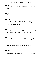### John 1:6

Ἐγένετο ἄνθρωπος, ἀπεσταλμένος παρὰ θεοῦ, ὄνομα αὐτῷ Ἰωάννης·

### John 1:24

Καὶ ἀπεσταλμένοι ἦσαν ἐκ τῶν Φαρισαίων.

### John 1:45

εὑρίσκει Φίλιππος τὸν Ναθαναὴλ καὶ λέγει αὐτῷ· ὃν ἔγραψεν Μωϋσῆς ἐν τῷ νόμῳ καὶ οἱ προφῆται εὑρήκαμεν, Ἰησοῦν υἱὸν τοῦ Ἰωσὴφ τὸν ἀπὸ Ναζαρέτ.

### John 3:27

Ἀπεκρίθη Ἰωάννης καὶ εἶπεν· οὐ δύναται ἄνθρωπος λαμβάνειν οὐδὲ ἓν ἐὰν μὴ ᾖ δεδομένον αὐτῷ ἐκ τοῦ οὐρανοῦ.

### John 3:35

δ πατήρ άγαπα τον υίον και πάντα δέδωκεν έν τη χειρι αύτου.

### John 4:3

ἀφῆκεν τὴν Ἰουδαίαν καὶ ἀπῆλθεν πάλιν εἰς τὴν Γαλιλαίαν.

### John 4:50

λέγει αὐτῷ ὁ Ἰησοῦς· πορεύου, ὁ υἱός σου ζῇ. Ἐπίστευσεν ὁ ἄνθρωπος τῷ λόγῳ ὃν εἶπεν αὐτῷ ὁ Ἰησοῦς καὶ ἐπορεύετο.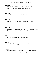#### John 5:38

καὶ τὸν λόγον αὐτοῦ οὐκ ἔχετε ἐν ὑμῖν μένοντα, ὅτι ὃν ἀπέστειλεν ἐκεῖνος, τούτῳ ὑμεῖς οὐ πιστεύετε.

#### John 5:40

καὶ οὐ θέλετε ἐλθεῖν πρός με ἵνα ζωὴν ἔχητε.

#### John 5:42

ἀλλ' ἔγνωκα ὑμᾶς ὅτι τὴν ἀγάπην τοῦ θεοῦ οὐκ ἔχετε ἐν ἑαυτοῖς.

#### John 6:29

ἀπεκρίθη [ὁ] Ἰησοῦς καὶ εἶπεν αὐτοῖς· τοῦτό ἐστιν τὸ ἔργον τοῦ θεοῦ, ἵνα πιστεύητε εἰς ὃν ἀπέστειλεν ἐκεῖνος.

#### John 7:5

οὐδὲ γὰρ οἱ ἀδελφοὶ αὐτοῦ ἐπίστευον εἰς αὐτόν.

### John 7:9

ταῦτα δὲ εἰπὼν αὐτὸς ἔμεινεν ἐν τῇ Γαλιλαίᾳ.

#### John 8:34

ἀπεκρίθη αὐτοῖς ὁ Ἰησοῦς· ἀμὴν ἀμὴν λέγω ὑμῖν ὅτι πᾶς ὁ ποιῶν τὴν ἁμαρτίαν δοῦλός ἐστιν τῆς ἁμαρτίας.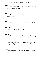### John 11:46

τινὲς δὲ ἐξ αὐτῶν ἀπῆλθον πρὸς τοὺς Φαρισαίους καὶ εἶπαν αὐτοῖς ἃ ἐποίησεν Ἰησοῦς.

### John 12:30

ἀπεκρίθη Ἰησοῦς καὶ εἶπεν· οὐ δι' ἐμὲ ἡ φωνὴ αὕτη γέγονεν ἀλλὰ δι' ὑμᾶς.

#### John 12:39

διὰ τοῦτο οὐκ ἠδύναντο πιστεύειν, ὅτι πάλιν εἶπεν Ἠσαΐας·

#### John 14:25

Ταῦτα λελάληκα ὑμῖν παρ' ὑμῖν μένων·

### John 16:3

καὶ ταῦτα ποιήσουσιν ὅτι οὐκ ἔγνωσαν τὸν πατέρα οὐδὲ ἐμέ.

### John 16:28

ἐξῆλθον παρὰ τοῦ πατρὸς καὶ ἐλήλυθα εἰς τὸν κόσμον· πάλιν ἀφίημι τὸν κόσμον καὶ πορεύομαι πρὸς τὸν πατέρα.

### John 18:4

Ἰησοῦς οὖν εἰδὼς πάντα τὰ ἐρχόμενα ἐπ' αὐτὸν ἐξῆλθεν καὶ λέγει αὐτοῖς· τίνα ζητεῖτε;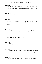### John 18:5

ἀπεκρίθησαν αὐτῷ· Ἰησοῦν τὸν Ναζωραῖον. λέγει αὐτοῖς· ἐγώ εἰμι. εἱστήκει δὲ καὶ Ἰούδας ὁ παραδιδοὺς αὐτὸν μετ' αὐτῶν.

# John 20:10

ἀπῆλθον οὖν πάλιν πρὸς αὐτοὺς οἱ μαθηταί.

### John 20:31

ταῦτα δὲ γέγραπται ἵνα πιστεύσητε ὅτι Ἰησοῦς ἐστιν ὁ χριστὸς ὁ υἱὸς τοῦ θεοῦ, καὶ ἵνα πιστεύοντες ζωὴν ἔχητε ἐν τῷ ὀνόματι αὐτοῦ.

### Acts 2:16

ἀλλὰ τοῦτό ἐστιν τὸ εἰρημένον διὰ τοῦ προφήτου Ἰωήλ·

### Acts 7:1

Εἶπεν δὲ ὁ ἀρχιερεύς· εἰ ταῦτα οὕτως ἔχει;

### Acts 13:30

ὁ δὲ θεὸς ἤγειρεν αὐτὸν ἐκ νεκρῶν,

### Acts 19:2

εἶπέν τε πρὸς αὐτούς· εἰ πνεῦμα ἅγιον ἐλάβετε πιστεύσαντες; οἱ δὲ πρὸς αὐτόν· ἀλλ' οὐδ' εἰ πνεῦμα ἅγιον ἔστιν ἠκούσαμεν.

### Rom 8:31

Τί οὖν ἐροῦμεν πρὸς ταῦτα; εἰ ὁ θεὸς ὑπὲρ ἡμῶν, τίς καθ' ἡμῶν;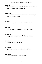#### Rom 9:25

ὡς καὶ ἐν τῷ Ὡσηὲ λέγει· καλέσω τὸν οὐ λαόν μου λαόν μου καὶ τὴν οὐκ ἠγαπημένην ἠγαπημένην·

#### Rom 11:36

ὅτι ἐξ αὐτοῦ καὶ δι' αὐτοῦ καὶ εἰς αὐτὸν τὰ πάντα· αὐτῷ ἡ δόξα εἰς τοὺς αἰῶνας, ἀμήν.

#### 1 Cor 4:20

οὐ γὰρ ἐν λόγῳ ἡ βασιλεία τοῦ θεοῦ ἀλλ' ἐν δυνάμει.

#### 1 Cor 8:3

εί δέ τις άγαπα τον θεόν, οὗτος ἔγνωσται ὑπ' αὐτοῦ.

#### 1 Cor 15:16

εἰ γὰρ νεκροὶ οὐκ ἐγείρονται, οὐδὲ Χριστὸς ἐγήγερται·

#### 1 Cor 16:14

πάντα ὑμῶν ἐν ἀγάπῃ γινέσθω.

#### 1 Cor 16:24

ἡ ἀγάπη μου μετὰ πάντων ὑμῶν ἐν Χριστῷ Ἰησοῦ.

#### 2 Cor 11:11

διὰ τί; ὅτι οὐκ ἀγαπῶ ὑμᾶς; ὁ θεὸς οἶδεν.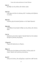# Gal 1:5

ᾧ ἡ δόξα εἰς τοὺς αἰῶνας τῶν αἰώνων, ἀμήν.

# Gal 3:12

ὁ δὲ νόμος οὐκ ἔστιν ἐκ πίστεως, ἀλλ' ὁ ποιήσας αὐτὰ ζήσεται ἐν αὐτοῖς.

# Phil 2:21

οἱ πάντες γὰρ τὰ ἑαυτῶν ζητοῦσιν, οὐ τὰ Ἰησοῦ Χριστοῦ.

# Phil 4:20

τῷ δὲ θεῷ καὶ πατρὶ ἡμῶν ἡ δόξα εἰς τοὺς αἰῶνας τῶν αἰώνων, ἀμήν.

# Col 1:4

ἀκούσαντες τὴν πίστιν ὑμῶν ἐν Χριστῷ Ἰησοῦ καὶ τὴν ἀγάπην ἣν ἔχετε εἰς πάντας τοὺς ἁγίους

# 2 Tim 4:12

Τύχικον δὲ ἀπέστειλα εἰς Ἔφεσον.

# Phlm 1:5

ἀκούων σου τὴν ἀγάπην καὶ τὴν πίστιν, ἣν ἔχεις πρὸς τὸν κύριον Ἰησοῦν καὶ εἰς πάντας τοὺς ἁγίους,

# Jas 2:17

οὕτως καὶ ἡ πίστις, ἐὰν μὴ ἔχῃ ἔργα, νεκρά ἐστιν καθ' ἑαυτήν.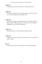#### 1 John 4:8

ὁ μὴ ἀγαπῶν οὐκ ἔγνω τὸν θεόν, ὅτι ὁ θεὸς ἀγάπη ἐστίν.

### 1 John 4:13

Ἐν τούτῳ γινώσκομεν ὅτι ἐν αὐτῷ μένομεν καὶ αὐτὸς ἐν ἡμῖν, ὅτι ἐκ τοῦ πνεύματος αὐτοῦ δέδωκεν ἡμῖν.

# 1 John 4:16

καὶ ἡμεῖς ἐγνώκαμεν καὶ πεπιστεύκαμεν τὴν ἀγάπην ἣν ἔχει ὁ θεὸς ἐν ἡμῖν. Ὁ θεὸς ἀγάπη ἐστίν, καὶ ὁ μένων ἐν τῇ ἀγάπῃ ἐν τῷ θεῷ μένει, καὶ ὁ θεὸς ἐν αὐτῷ μένει.

### 1 John 4:19

ἡμεῖς ἀγαπῶμεν, ὅτι αὐτὸς πρῶτος ἠγάπησεν ἡμᾶς.

# 1 John 5:12

ὁ ἔχων τὸν υἱὸν ἔχει τὴν ζωήν· ὁ μὴ ἔχων τὸν υἱὸν τοῦ θεοῦ τὴν ζωὴν οὐκ ἔχει.

# Rev 2:4

ἀλλ' ἔχω κατὰ σοῦ ὅτι τὴν ἀγάπην σου τὴν πρώτην ἀφῆκες.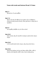#### Matt 7:1

Μὴ κρίνετε, ἵνα μὴ κριθῆτε·

#### Matt 7:12

Πάντα οὖν ὅσα ἐὰν θέλητε ἵνα ποιῶσιν ὑμῖν οἱ ἄνθρωποι, οὕτως καὶ ὑμεῖς ποιεῖτε αὐτοῖς· οὗτος γάρ ἐστιν ὁ νόμος καὶ οἱ προφῆται.

#### Matt 9:7

καὶ ἐγερθεὶς ἀπῆλθεν εἰς τὸν οἶκον αὐτοῦ.

#### Matt 22:43

λέγει αὐτοῖς· πῶς οὖν Δαυὶδ ἐν πνεύματι καλεῖ αὐτὸν κύριον λέγων·

#### Matt 22:45

εἰ οὖν Δαυὶδ καλεῖ αὐτὸν κύριον, πῶς υἱὸς αὐτοῦ ἐστιν;

#### Matt 24:36

Περὶ δὲ τῆς ἡμέρας ἐκείνης καὶ ὥρας οὐδεὶς οἶδεν, οὐδὲ οἱ ἄγγελοι τῶν οὐρανῶν οὐδὲ ὁ υἱός, εἰ μὴ ὁ πατὴρ μόνος.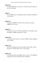#### Matt 27:25

καὶ ἀποκριθεὶς πᾶς ὁ λαὸς εἶπεν· τὸ αἷμα αὐτοῦ ἐφ' ἡμᾶς καὶ ἐπὶ τὰ τέκνα ἡμῶν.

#### Mark 2:1

Καὶ εἰσελθὼν πάλιν εἰς Καφαρναοὺμ δι' ἡμερῶν ἠκούσθη ὅτι ἐν οἴκῳ ἐστίν.

#### Mark 4:25

ὃς γὰρ ἔχει, δοθήσεται αὐτῷ· καὶ ὃς οὐκ ἔχει, καὶ ὃ ἔχει ἀρθήσεται ἀπ' αὐτοῦ.

#### Mark 9:13

ἀλλὰ λέγω ὑμῖν ὅτι καὶ Ἠλίας ἐλήλυθεν, καὶ ἐποίησαν αὐτῷ ὅσα ἤθελον, καθὼς γέγραπται ἐπ' αὐτόν.

#### Mark 10:18

ὁ δὲ Ἰησοῦς εἶπεν αὐτῷ· τί με λέγεις ἀγαθόν; οὐδεὶς ἀγαθὸς εἰ μὴ εἷς ὁ θεός.

#### Mark 13:32

Περὶ δὲ τῆς ἡμέρας ἐκείνης ἢ τῆς ὥρας οὐδεὶς οἶδεν, οὐδὲ οἱ ἄγγελοι ἐν οὐρανῷ οὐδὲ ὁ υἱός, εἰ μὴ ὁ πατήρ.

#### Mark 15:12

ὁ δὲ Πιλᾶτος πάλιν ἀποκριθεὶς ἔλεγεν αὐτοῖς· τί οὖν [θέλετε] ποιήσω [ὃν λέγετε] τὸν βασιλέα τῶν Ἰουδαίων;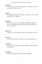### Luke 2:49

καὶ εἶπεν πρὸς αὐτούς· τί ὅτι ἐζητεῖτέ με; οὐκ ᾔδειτε ὅτι ἐν τοῖς τοῦ πατρός μου δεῖ εἶναί με;

### Luke 4:4

καὶ ἀπεκρίθη πρὸς αὐτὸν ὁ Ἰησοῦς· γέγραπται ὅτι οὐκ ἐπ' ἄρτῳ μόνῳ ζήσεται ὁ ἄνθρωπος.

#### Luke 10:24

λέγω γὰρ ὑμῖν ὅτι πολλοὶ προφῆται καὶ βασιλεῖς ἠθέλησαν ἰδεῖν ἃ ὑμεῖς βλέπετε καὶ οὐκ εἶδαν, καὶ ἀκοῦσαι ἃ ἀκούετε καὶ οὐκ ἤκουσαν.

#### Luke 12:12

τὸ γὰρ ἅγιον πνεῦμα διδάξει ὑμᾶς ἐν αὐτῇ τῇ ὥρᾳ ἃ δεῖ εἰπεῖν.

#### Luke 17:19

καὶ εἶπεν αὐτῷ· ἀναστὰς πορεύου· ἡ πίστις σου σέσωκέν σε.

#### Luke 18:19

εἶπεν δὲ αὐτῷ ὁ Ἰησοῦς· τί με λέγεις ἀγαθόν; οὐδεὶς ἀγαθὸς εἰ μὴ εἷς ὁ θεός.

#### Luke 18:26

εἶπαν δὲ οἱ ἀκούσαντες· καὶ τίς δύναται σωθῆναι;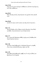#### Luke 19:26

λέγω ὑμῖν ὅτι παντὶ τῷ ἔχοντι δοθήσεται, ἀπὸ δὲ τοῦ μὴ ἔχοντος καὶ ὃ ἔχει ἀρθήσεται.

#### Luke 20:41

Εἶπεν δὲ πρὸς αὐτούς· πῶς λέγουσιν τὸν χριστὸν εἶναι Δαυὶδ υἱόν;

#### Luke 20:44

Δαυὶδ οὖν κύριον αὐτὸν καλεῖ, καὶ πῶς αὐτοῦ υἱός ἐστιν;

#### John 1:12

ὅσοι δὲ ἔλαβον αὐτόν, ἔδωκεν αὐτοῖς ἐξουσίαν τέκνα θεοῦ γενέσθαι, τοῖς πιστεύουσιν εἰς τὸ ὄνομα αὐτοῦ,

#### John 1:17

ὅτι ὁ νόμος διὰ Μωϋσέως ἐδόθη, ἡ χάρις καὶ ἡ ἀλήθεια διὰ Ἰησοῦ Χριστοῦ ἐγένετο.

#### John 1:46

καὶ εἶπεν αὐτῷ Ναθαναήλ· ἐκ Ναζαρὲτ δύναταί τι ἀγαθὸν εἶναι; λέγει αὐτῷ [ὁ] Φίλιππος· ἔρχου καὶ ἴδε.

#### John 1:49

ἀπεκρίθη αὐτῷ Ναθαναήλ· ῥαββί, σὺ εἶ ὁ υἱὸς τοῦ θεοῦ, σὺ βασιλεὺς εἶ τοῦ Ἰσραήλ.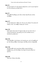# John 3:6

τὸ γεγεννημένον ἐκ τῆς σαρκὸς σάρξ ἐστιν, καὶ τὸ γεγεννημένον ἐκ τοῦ πνεύματος πνεῦμά ἐστιν.

# John 3:9

Ἀπεκρίθη Νικόδημος καὶ εἶπεν αὐτῷ· πῶς δύναται ταῦτα γενέσθαι;

# John 3:17

οὐ γὰρ ἀπέστειλεν ὁ θεὸς τὸν υἱὸν εἰς τὸν κόσμον ἵνα κρίνῃ τὸν κόσμον, ἀλλ' ἵνα σωθῇ ὁ κόσμος δι' αὐτοῦ.

# John 5:25

ἀμὴν ἀμὴν λέγω ὑμῖν ὅτι ἔρχεται ὥρα καὶ νῦν ἐστιν ὅτε οἱ νεκροὶ ἀκούσουσιν τῆς φωνῆς τοῦ υἱοῦ τοῦ θεοῦ καὶ οἱ ἀκούσαντες ζήσουσιν.

# John 5:43

ἐγὼ ἐλήλυθα ἐν τῷ ὀνόματι τοῦ πατρός μου, καὶ οὐ λαμβάνετέ με· ἐὰν ἄλλος ἔλθῃ ἐν τῷ ὀνόματι τῷ ἰδίῳ, ἐκεῖνον λήμψεσθε.

# John 5:44

πῶς δύνασθε ὑμεῖς πιστεῦσαι δόξαν παρὰ ἀλλήλων λαμβάνοντες, καὶ τὴν δόξαν τὴν παρὰ τοῦ μόνου θεοῦ οὐ ζητεῖτε;

# John 6:48

Ἐγώ εἰμι ὁ ἄρτος τῆς ζωῆς.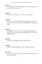### John 7:51

μὴ ὁ νόμος ἡμῶν κρίνει τὸν ἄνθρωπον ἐὰν μὴ ἀκούσῃ πρῶτον παρ' αὐτοῦ καὶ γνῷ τί ποιεῖ;

### John 8:15

ὑμεῖς κατὰ τὴν σάρκα κρίνετε, ἐγὼ οὐ κρίνω οὐδένα.

### John 8:24

εἶπον οὖν ὑμῖν ὅτι ἀποθανεῖσθε ἐν ταῖς ἁμαρτίαις ὑμῶν· ἐὰν γὰρ μὴ πιστεύσητε ὅτι ἐγώ εἰμι, ἀποθανεῖσθε ἐν ταῖς ἁμαρτίαις ὑμῶν.

### John 8:39

Ἀπεκρίθησαν καὶ εἶπαν αὐτῷ· ὁ πατὴρ ἡμῶν Ἀβραάμ ἐστιν. λέγει αὐτοῖς ὁ Ἰησοῦς· εἰ τέκνα τοῦ Ἀβραάμ ἐστε, τὰ ἔργα τοῦ Ἀβραὰμ ἐποιεῖτε·

### John 8:45

ἐγὼ δὲ ὅτι τὴν ἀλήθειαν λέγω, οὐ πιστεύετέ μοι.

### John 8:50

ἐγὼ δὲ οὐ ζητῶ τὴν δόξαν μου· ἔστιν ὁ ζητῶν καὶ κρίνων.

### John 10:17

Διὰ τοῦτό με ὁ πατὴρ ἀγαπῷ ὅτι ἐγὼ τίθημι τὴν ψυχήν μου, ἵνα πάλιν λάβω αὐτήν.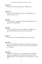#### John 11:23

λέγει αὐτῇ ὁ Ἰησοῦς· ἀναστήσεται ὁ ἀδελφός σου.

#### John 11:26

καὶ πᾶς ὁ ζῶν καὶ πιστεύων εἰς ἐμὲ οὐ μὴ ἀποθάνῃ εἰς τὸν αἰῶνα. πιστεύεις τοῦτο;

#### John 12:4

Λέγει δὲ Ἰούδας ὁ Ἰσκαριώτης εἷς [ἐκ] τῶν μαθητῶν αὐτοῦ, ὁ μέλλων αὐτὸν παραδιδόναι·

## John 14:6

λέγει αὐτῷ [ὁ] Ἰησοῦς· ἐγώ εἰμι ἡ ὁδὸς καὶ ἡ ἀλήθεια καὶ ἡ ζωή· οὐδεὶς ἔρχεται πρὸς τὸν πατέρα εἰ μὴ δι' ἐμοῦ.

## John 17:7

νῦν ἔγνωκαν ὅτι πάντα ὅσα δέδωκάς μοι παρὰ σοῦ εἰσιν·

#### John 19:21

ἔλεγον οὖν τῷ Πιλάτῳ οἱ ἀρχιερεῖς τῶν Ἰουδαίων· μὴ γράφε· ὁ βασιλεὺς τῶν Ἰουδαίων, ἀλλ' ὅτι ἐκεῖνος εἶπεν· βασιλεύς εἰμι τῶν Ἰουδαίων.

#### John 21:23

ἐξῆλθεν οὖν οὗτος ὁ λόγος εἰς τοὺς ἀδελφοὺς ὅτι ὁ μαθητὴς ἐκεῖνος οὐκ ἀποθνῄσκει· οὐκ εἶπεν δὲ αὐτῷ ὁ Ἰησοῦς ὅτι οὐκ ἀποθνῄσκει ἀλλ'· ἐὰν αὐτὸν θέλω μένειν ἕως ἔρχομαι [, τί πρὸς σέ];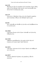## Acts 3:22

Μωϋσῆς μὲν εἶπεν ὅτι προφήτην ὑμῖν ἀναστήσει κύριος ὁ θεὸς ὑμῶν ἐκ τῶν ἀδελφῶν ὑμῶν ὡς ἐμέ· αὐτοῦ ἀκούσεσθε κατὰ πάντα ὅσα ἂν λαλήσῃ πρὸς ὑμᾶς.

## Acts 7:37

οὗτός ἐστιν ὁ Μωϋσῆς ὁ εἴπας τοῖς υἱοῖς Ἰσραήλ· προφήτην ὑμῖν ἀναστήσει ὁ θεὸς ἐκ τῶν ἀδελφῶν ὑμῶν ὡς ἐμέ.

## Acts 9:6

ἀλλ' ἀνάστηθι καὶ εἴσελθε εἰς τὴν πόλιν καὶ λαληθήσεταί σοι ὅ τί σε δεῖ ποιεῖν.

## Acts 10:26

ὁ δὲ Πέτρος ἤγειρεν αὐτὸν λέγων· ἀνάστηθι· καὶ ἐγὼ αὐτὸς ἄνθρωπός εἰμι.

## Acts 15:26

ἀνθρώποις παραδεδωκόσιν τὰς ψυχὰς αὐτῶν ὑπὲρ τοῦ ὀνόματος τοῦ κυρίου ἡμῶν Ἰησοῦ Χριστοῦ.

## Acts 16:31

οἱ δὲ εἶπαν· πίστευσον ἐπὶ τὸν κύριον Ἰησοῦν καὶ σωθήσῃ σὺ καὶ ὁ οἶκός σου.

# Acts 26:27

πιστεύεις, βασιλεῦ Ἀγρίππα, τοῖς προφήταις; οἶδα ὅτι πιστεύεις.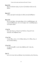#### Rom 9:24

Οὓς καὶ ἐκάλεσεν ἡμᾶς οὐ μόνον ἐξ Ἰουδαίων ἀλλὰ καὶ ἐξ ἐθνῶν,

#### Rom 14:7

ούδεις γὰρ ἡμῶν εαυτῷ ζῆ και οὐδεις εαυτῷ ἀποθνήσκει·

#### Rom 14:8

έάν τε γὰρ ζῶμεν, τῷ κυρίῳ ζῶμεν, ἐάν τε ἀποθνήσκωμεν, τῷ κυρίω ἀποθνήσκομεν. ἐάν τε οὖν ζῶμεν ἐάν τε ἀποθνήσκωμεν, τοῦ κυρίου ἐσμέν.

## 1 Cor 3:4

ὅταν γὰρ λέγῃ τις· ἐγὼ μέν εἰμι Παύλου, ἕτερος δέ· ἐγὼ Ἀπολλῶ, οὐκ ἄνθρωποί ἐστε;

## 1 Cor 7:16

τί γὰρ οἶδας, γύναι, εἰ τὸν ἄνδρα σώσεις; ἢ τί οἶδας, ἄνερ, εἰ τὴν γυναῖκα σώσεις;

## 2 Cor 13:8

οὐ γὰρ δυνάμεθά τι κατὰ τῆς ἀληθείας ἀλλ' ὑπὲρ τῆς ἀληθείας.

## Gal 1:2

καὶ οἱ σὺν ἐμοὶ πάντες ἀδελφοὶ ταῖς ἐκκλησίαις τῆς Γαλατίας,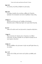#### Eph 5:22

αἱ γυναῖκες τοῖς ἰδίοις ἀνδράσιν ὡς τῷ κυρίῳ,

## Eph 5:25

Οἱ ἄνδρες, ἀγαπᾶτε τὰς γυναῖκας, καθὼς καὶ ὁ Χριστὸς ἠγάπησεν τὴν ἐκκλησίαν καὶ ἑαυτὸν παρέδωκεν ὑπὲρ αὐτῆς,

## 2 Thess 1:1

Παῦλος καὶ Σιλουανὸς καὶ Τιμόθεος τῇ ἐκκλησίᾳ Θεσσαλονικέων ἐν θεῷ πατρὶ ἡμῶν καὶ κυρίῳ Ἰησοῦ Χριστῷ,

## Jas 4:17

εἰδότι οὖν καλὸν ποιεῖν καὶ μὴ ποιοῦντι, ἁμαρτία αὐτῷ ἐστιν.

## 1 John 5:1

Πᾶς ὁ πιστεύων ὅτι Ἰησοῦς ἐστιν ὁ Χριστὸς ἐκ τοῦ θεοῦ γεγέννηται, καὶ πᾶς ὁ ἀγαπῶν τὸν γεννήσαντα ἀγαπᾶ καὶ τὸν γεγεννημένον ἐξ αὐτοῦ.

## 2 John 1:2

διὰ τὴν ἀλήθειαν τὴν μένουσαν ἐν ἡμῖν καὶ μεθ' ἡμῶν ἔσται εἰς τὸν αἰῶνα.

## Rev 1:19

γράψον οὖν ἃ εἶδες καὶ ἃ εἰσὶν καὶ ἃ μέλλει γενέσθαι μετὰ ταῦτα.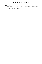## Rev 17:18

καὶ ἡ γυνὴ ἣν εἶδες ἔστιν ἡ πόλις ἡ μεγάλη ἡ ἔχουσα βασιλείαν ἐπὶ τῶν βασιλέων τῆς γῆς.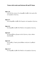#### Matt 1:22

τοῦτο δὲ ὅλον γέγονεν ἵνα πληρωθῇ τὸ ῥηθὲν ὑπὸ κυρίου διὰ τοῦ προφήτου λέγοντος·

#### Matt 2:17

τότε ἐπληρώθη τὸ ῥηθὲν διὰ Ἰερεμίου τοῦ προφήτου λέγοντος·

#### Matt 4:14

ἵνα πληρωθῇ τὸ ῥηθὲν διὰ Ἠσαΐου τοῦ προφήτου λέγοντος·

#### Matt 8:25

καὶ προσελθόντες ἤγειραν αὐτὸν λέγοντες· κύριε, σῶσον, ἀπολλύμεθα.

#### Matt 9:19

καὶ ἐγερθεὶς ὁ Ἰησοῦς ἠκολούθησεν αὐτῷ καὶ οἱ μαθηταὶ αύτοῦ

#### Matt 12:17

ἵνα πληρωθῇ τὸ ῥηθὲν διὰ Ἠσαΐου τοῦ προφήτου λέγοντος·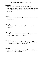## Matt 12:32

καὶ ὃς ἐὰν εἴπῃ λόγον κατὰ τοῦ υἱοῦ τοῦ ἀνθρώπου, ἀφεθήσεται αὐτῷ· ὃς δ' ἂν εἴπῃ κατὰ τοῦ πνεύματος τοῦ ἁγίου, οὐκ ἀφεθήσεται αὐτῷ οὔτε ἐν τούτῳ τῷ αἰῶνι οὔτε ἐν τῷ μέλλοντι.

## Matt 13:1

Ἐν τῇ ἡμέρᾳ ἐκείνῃ ἐξελθὼν ὁ Ἰησοῦς τῆς οἰκίας ἐκάθητο παρὰ τὴν θάλασσαν·

## Matt 21:4

τοῦτο δὲ γέγονεν ἵνα πληρωθῇ τὸ ῥηθὲν διὰ τοῦ προφήτου λέγοντος·

## Matt 21:26

ἐὰν δὲ εἴπωμεν· ἐξ ἀνθρώπων, φοβούμεθα τὸν ὄχλον, πάντες γὰρ ὡς προφήτην ἔχουσιν τὸν Ἰωάννην.

## Matt 28:18

καὶ προσελθὼν ὁ Ἰησοῦς ἐλάλησεν αὐτοῖς λέγων· ἐδόθη μοι πᾶσα ἐξουσία ἐν οὐρανῷ καὶ ἐπὶ [τῆς] γῆς.

## Mark 1:24

λέγων· τί ἡμῖν καὶ σοί, Ἰησοῦ Ναζαρηνέ; ἦλθες ἀπολέσαι ἡμᾶς; οἶδά σε τίς εἶ, ὁ ἅγιος τοῦ θεοῦ.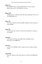## Mark 2:13

Καὶ ἐξῆλθεν πάλιν παρὰ τὴν θάλασσαν· καὶ πᾶς ὁ ὄχλος ἤρχετο πρὸς αὐτόν, καὶ ἐδίδασκεν αὐτούς.

## Mark 10:28

Ἤρξατο λέγειν ὁ Πέτρος αὐτῷ· ἰδοὺ ἡμεῖς ἀφήκαμεν πάντα καὶ ἠκολουθήκαμέν σοι.

## Luke 1:30

Καὶ εἶπεν ὁ ἄγγελος αὐτῇ· μὴ φοβοῦ, Μαριάμ, εὗρες γὰρ χάριν παρὰ τῷ θεῷ.

## Luke 7:50

εἶπεν δὲ πρὸς τὴν γυναῖκα· ἡ πίστις σου σέσωκέν σε· πορεύου εἰς εἰρήνην.

## Luke 8:50

ὁ δὲ Ἰησοῦς ἀκούσας ἀπεκρίθη αὐτῷ· μὴ φοβοῦ, μόνον πίστευσον, καὶ σωθήσεται.

## Luke 10:5

εἰς ἣν δ' ἂν εἰσέλθητε οἰκίαν, πρῶτον λέγετε· εἰρήνη τῷ οἴκῳ τούτῳ.

## Luke 18:28

Εἶπεν δὲ ὁ Πέτρος· ἰδοὺ ἡμεῖς ἀφέντες τὰ ἴδια ἠκολουθήσαμέν σοι.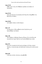#### Luke 19:10

ἦλθεν γὰρ ὁ υἱὸς τοῦ ἀνθρώπου ζητῆσαι καὶ σῶσαι τὸ ἀπολωλός.

## Luke 22:16

λέγω γὰρ ὑμῖν ὅτι οὐ μὴ φάγω αὐτὸ ἕως ὅτου πληρωθῇ ἐν τῇ βασιλείᾳ τοῦ θεοῦ.

#### Luke 24:43

καὶ λαβὼν ἐνώπιον αὐτῶν ἔφαγεν.

#### John 1:37

καὶ ἤκουσαν οἱ δύο μαθηταὶ αὐτοῦ λαλοῦντος καὶ ἠκολούθησαν τῷ Ἰησοῦ.

## John 1:40

Ἦν Ἀνδρέας ὁ ἀδελφὸς Σίμωνος Πέτρου εἷς ἐκ τῶν δύο τῶν ἀκουσάντων παρὰ Ἰωάννου καὶ ἀκολουθησάντων αὐτῷ·

## John 4:53

ἔγνω οὖν ὁ πατὴρ ὅτι [ἐν] ἐκείνῃ τῇ ὥρᾳ ἐν ᾗ εἶπεν αὐτῷ ὁ Ἰησοῦς· ὁ υἱός σου ζῇ, καὶ ἐπίστευσεν αὐτὸς καὶ ἡ οἰκία αὐτοῦ ὅλη.

## John 6:20

ὁ δὲ λέγει αὐτοῖς· ἐγώ εἰμι· μὴ φοβεῖσθε.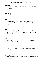#### John 8:35

ὁ δὲ δοῦλος οὐ μένει ἐν τῇ οἰκίᾳ εἰς τὸν αἰῶνα, ὁ υἱὸς μένει εἰς τὸν αἰῶνα.

#### John 10:42

καὶ πολλοὶ ἐπίστευσαν εἰς αὐτὸν ἐκεῖ.

## John 11:48

ἐὰν ἀφῶμεν αὐτὸν οὕτως, πάντες πιστεύσουσιν εἰς αὐτόν, καὶ ἐλεύσονται οἱ Ῥωμαῖοι καὶ ἀροῦσιν ἡμῶν καὶ τὸν τόπον καὶ τὸ ἔθνος.

#### John 12:9

Ἔγνω οὖν [ὁ] ὄχλος πολὺς ἐκ τῶν Ἰουδαίων ὅτι ἐκεῖ ἐστιν καὶ ἦλθον οὐ διὰ τὸν Ἰησοῦν μόνον, ἀλλ' ἵνα καὶ τὸν Λάζαρον ἴδωσιν ὃν ἤγειρεν ἐκ νεκρῶν.

## John 18:9

ἵνα πληρωθῇ ὁ λόγος ὃν εἶπεν ὅτι οὓς δέδωκάς μοι οὐκ ἀπώλεσα ἐξ αὐτῶν οὐδένα.

## John 21:22

λέγει αὐτῷ ὁ Ἰησοῦς· ἐὰν αὐτὸν θέλω μένειν ἕως ἔρχομαι, τί πρὸς σέ; σύ μοι ἀκολούθει.

## Acts 16:32

καὶ ἐλάλησαν αὐτῷ τὸν λόγον τοῦ κυρίου σὺν πᾶσιν τοῖς ἐν τῇ οἰκίᾳ αὐτοῦ.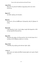## Acts 19:14

ἦσαν δέ τινος Σκευᾶ Ἰουδαίου ἀρχιερέως ἑπτὰ υἱοὶ τοῦτο ποιοῦντες.

#### Rom 3:17

καὶ ὁδὸν εἰρήνης οὐκ ἔγνωσαν.

#### Rom 6:2

μὴ γένοιτο. οἵτινες ἀπεθάνομεν τῇ ἁμαρτίᾳ, πῶς ἔτι ζήσομεν ἐν αὐτῇ;

#### Rom 8:10

εἰ δὲ Χριστὸς ἐν ὑμῖν, τὸ μὲν σῶμα νεκρὸν διὰ ἁμαρτίαν τὸ δὲ πνεῦμα ζωὴ διὰ δικαιοσύνην.

#### Rom 10:5

Μωϋσῆς γὰρ γράφει τὴν δικαιοσύνην τὴν ἐκ [τοῦ] νόμου ὅτι ὁ ποιήσας αὐτὰ ἄνθρωπος ζήσεται ἐν αὐτοῖς.

#### Rom 15:33

Ὁ δὲ θεὸς τῆς εἰρήνης μετὰ πάντων ὑμῶν, ἀμήν.

#### 1 Cor 1:3

χάρις ὑμῖν καὶ εἰρήνη ἀπὸ θεοῦ πατρὸς ἡμῶν καὶ κυρίου Ἰησοῦ Χριστοῦ.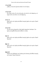## 1 Cor 10:24

μηδεὶς τὸ ἑαυτοῦ ζητείτω ἀλλὰ τὸ τοῦ ἑτέρου.

## 1 Cor 12:15

ἐὰν εἴπῃ ὁ πούς· ὅτι οὐκ εἰμὶ χείρ, οὐκ εἰμὶ ἐκ τοῦ σώματος, οὐ παρὰ τοῦτο οὐκ ἔστιν ἐκ τοῦ σώματος;

## 2 Cor 1:2

χάρις ὑμῖν καὶ εἰρήνη ἀπὸ θεοῦ πατρὸς ἡμῶν καὶ κυρίου Ἰησοῦ Χριστοῦ.

## 2 Cor 5:21

τὸν μὴ γνόντα ἁμαρτίαν ὑπὲρ ἡμῶν ἁμαρτίαν ἐποίησεν, ἵνα ἡμεῖς γενώμεθα δικαιοσύνη θεοῦ ἐν αὐτῷ.

## Gal 1:3

χάρις ὑμῖν καὶ εἰρήνη ἀπὸ θεοῦ πατρὸς ἡμῶν καὶ κυρίου Ἰησοῦ Χριστοῦ

## Eph 1:2

χάρις ὑμῖν καὶ εἰρήνη ἀπὸ θεοῦ πατρὸς ἡμῶν καὶ κυρίου Ἰησοῦ Χριστοῦ.

## Eph 6:23

Εἰρήνη τοῖς ἀδελφοῖς καὶ ἀγάπη μετὰ πίστεως ἀπὸ θεοῦ πατρὸς καὶ κυρίου Ἰησοῦ Χριστοῦ.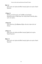## Phil 1:2

χάρις ὑμῖν καὶ εἰρήνη ἀπὸ θεοῦ πατρὸς ἡμῶν καὶ κυρίου Ἰησοῦ Χριστοῦ.

# 1 Thess 1:1

Παῦλος καὶ Σιλουανὸς καὶ Τιμόθεος τῇ ἐκκλησίᾳ Θεσσαλονικέων ἐν θεῷ πατρὶ καὶ κυρίῳ Ἰησοῦ Χριστῷ, χάρις ὑμῖν καὶ εἰρήνη.

## 1 Thess 2:6

οὔτε ζητοῦντες ἐξ ἀνθρώπων δόξαν οὔτε ἀφ' ὑμῶν οὔτε ἀπ' ἄλλων,

# 2 Thess 1:2

χάρις ὑμῖν καὶ εἰρήνη ἀπὸ θεοῦ πατρὸς [ἡμῶν] καὶ κυρίου Ἰησοῦ Χριστοῦ.

# Phlm 1:3

χάρις ὑμῖν καὶ εἰρήνη ἀπὸ θεοῦ πατρὸς ἡμῶν καὶ κυρίου Ἰησοῦ Χριστοῦ.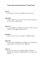#### Matt 5:2

καὶ ἀνοίξας τὸ στόμα αὐτοῦ ἐδίδασκεν αὐτοὺς λέγων·

#### Matt 12:48

ὁ δὲ ἀποκριθεὶς εἶπεν τῷ λέγοντι αὐτῷ· τίς ἐστιν ἡ μήτηρ μου καὶ τίνες εἰσὶν οἱ ἀδελφοί μου;

#### Matt 17:19

Τότε προσελθόντες οἱ μαθηταὶ τῷ Ἰησοῦ κατ' ἰδίαν εἶπον· διὰ τί ἡμεῖς οὐκ ἠδυνήθημεν ἐκβαλεῖν αὐτό;

#### Matt 20:33

λέγουσιν αὐτῷ· κύριε, ἵνα ἀνοιγῶσιν οἱ ὀφθαλμοὶ ἡμῶν.

#### Matt 27:56

ἐν αἷς ἦν Μαρία ἡ Μαγδαληνὴ καὶ Μαρία ἡ τοῦ Ἰακώβου καὶ Ἰωσὴφ μήτηρ καὶ ἡ μήτηρ τῶν υἱῶν Ζεβεδαίου.

#### Mark 1:9

Καὶ ἐγένετο ἐν ἐκείναις ταῖς ἡμέραις ἦλθεν Ἰησοῦς ἀπὸ Ναζαρὲτ τῆς Γαλιλαίας καὶ ἐβαπτίσθη εἰς τὸν Ἰορδάνην ὑπὸ Ἰωάννου.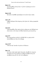#### Mark 3:33

καὶ ἀποκριθεὶς αὐτοῖς λέγει· τίς ἐστιν ἡ μήτηρ μου καὶ οἱ ἀδελφοί [μου];

## Mark 14:39

Καὶ πάλιν ἀπελθὼν προσηύξατο τὸν αὐτὸν λόγον εἰπών.

## Luke 1:70

καθὼς ἐλάλησεν διὰ στόματος τῶν ἁγίων ἀπ' αἰῶνος προφητῶν αὐτοῦ,

## Luke 8:21

ὁ δὲ ἀποκριθεὶς εἶπεν πρὸς αὐτούς· μήτηρ μου καὶ ἀδελφοί μου οὗτοί εἰσιν οἱ τὸν λόγον τοῦ θεοῦ ἀκούοντες καὶ ποιοῦντες.

## Luke 9:57

Καὶ πορευομένων αὐτῶν ἐν τῇ ὁδῷ εἶπέν τις πρὸς αὐτόν· ἀκολουθήσω σοι ὅπου ἐὰν ἀπέρχῃ.

## Luke 12:57

Τί δὲ καὶ ἀφ' ἑαυτῶν οὐ κρίνετε τὸ δίκαιον;

## John 1:51

καὶ λέγει αὐτῷ· ἀμὴν ἀμὴν λέγω ὑμῖν, ὄψεσθε τὸν οὐρανὸν ἀνεῳγότα καὶ τοὺς ἀγγέλους τοῦ θεοῦ ἀναβαίνοντας καὶ καταβαίνοντας ἐπὶ τὸν υἱὸν τοῦ ἀνθρώπου.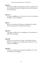## John 2:12

Μετὰ τοῦτο κατέβη εἰς Καφαρναοὺμ αὐτὸς καὶ ἡ μήτηρ αὐτοῦ καὶ οἱ ἀδελφοὶ [αὐτοῦ] καὶ οἱ μαθηταὶ αὐτοῦ καὶ ἐκεῖ ἔμειναν οὐ πολλὰς ἡμέρας.

## John 3:13

καὶ οὐδεὶς ἀναβέβηκεν εἰς τὸν οὐρανὸν εἰ μὴ ὁ ἐκ τοῦ οὐρανοῦ καταβάς, ὁ υἱὸς τοῦ ἀνθρώπου.

## John 4:1

Ὡς οὖν ἔγνω ὁ Ἰησοῦς ὅτι ἤκουσαν οἱ Φαρισαῖοι ὅτι Ἰησοῦς πλείονας μαθητὰς ποιεῖ καὶ βαπτίζει ἢ Ἰωάννης

## John 6:33

ὁ γὰρ ἄρτος τοῦ θεοῦ ἐστιν ὁ καταβαίνων ἐκ τοῦ οὐρανοῦ καὶ ζωὴν διδοὺς τῷ κόσμῳ.

## John 6:42

καὶ ἔλεγον· οὐχ οὗτός ἐστιν Ἰησοῦς ὁ υἱὸς Ἰωσήφ, οὗ ἡμεῖς οἴδαμεν τὸν πατέρα καὶ τὴν μητέρα; πῶς νῦν λέγει ὅτι ἐκ τοῦ οὐρανοῦ καταβέβηκα;

## John 6:50

οὗτός ἐστιν ὁ ἄρτος ὁ ἐκ τοῦ οὐρανοῦ καταβαίνων, ἵνα τις ἐξ αὐτοῦ φάγῃ καὶ μὴ ἀποθάνῃ.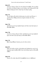# John 6:51

ἐγώ εἰμι ὁ ἄρτος ὁ ζῶν ὁ ἐκ τοῦ οὐρανοῦ καταβάς· ἐάν τις φάγῃ ἐκ τούτου τοῦ ἄρτου ζήσει εἰς τὸν αἰῶνα, καὶ ὁ ἄρτος δὲ ὃν ἐγὼ δώσω ἡ σάρξ μού ἐστιν ὑπὲρ τῆς τοῦ κόσμου ζωῆς.

# John 7:31

Ἐκ τοῦ ὄχλου δὲ πολλοὶ ἐπίστευσαν εἰς αὐτὸν καὶ ἔλεγον· ὁ χριστὸς ὅταν ἔλθῃ μὴ πλείονα σημεῖα ποιήσει ὧν οὗτος ἐποίησεν;

# John 7:34

ζητήσετέ με καὶ οὐχ εὑρήσετέ [με], καὶ ὅπου εἰμὶ ἐγὼ ὑμεῖς οὐ δύνασθε ἐλθεῖν.

## John 7:36

τίς ἐστιν ὁ λόγος οὗτος ὃν εἶπεν· ζητήσετέ με καὶ οὐχ εὑρήσετέ [με], καὶ ὅπου εἰμὶ ἐγὼ ὑμεῖς οὐ δύνασθε ἐλθεῖν;

## John 7:53

⟦Καὶ ἐπορεύθησαν ἕκαστος εἰς τὸν οἶκον αὐτοῦ,

# John 8:21

Εἶπεν οὖν πάλιν αὐτοῖς· ἐγὼ ὑπάγω καὶ ζητήσετέ με, καὶ ἐν τῇ ἁμαρτίᾳ ὑμῶν ἀποθανεῖσθε· ὅπου ἐγὼ ὑπάγω ὑμεῖς οὐ δύνασθε ἐλθεῖν.

# John 9:10

ἔλεγον οὖν αὐτῷ· πῶς [οὖν] ἠνεῴχθησάν σου οἱ ὀφθαλμοί;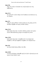#### John 9:26

εἶπον οὖν αὐτῷ· τί ἐποίησέν σοι; πῶς ἤνοιξέν σου τοὺς ὀφθαλμούς;

## John 12:11

ὅτι πολλοὶ δι' αὐτὸν ὑπῆγον τῶν Ἰουδαίων καὶ ἐπίστευον εἰς τὸν Ἰησοῦν.

#### John 13:3

εἰδὼς ὅτι πάντα ἔδωκεν αὐτῷ ὁ πατὴρ εἰς τὰς χεῖρας καὶ ὅτι ἀπὸ θεοῦ ἐξῆλθεν καὶ πρὸς τὸν θεὸν ὑπάγει,

## John 13:16

ἀμὴν ἀμὴν λέγω ὑμῖν, οὐκ ἔστιν δοῦλος μείζων τοῦ κυρίου αὐτοῦ οὐδὲ ἀπόστολος μείζων τοῦ πέμψαντος αὐτόν.

## John 13:20

ἀμὴν ἀμὴν λέγω ὑμῖν, ὁ λαμβάνων ἄν τινα πέμψω ἐμὲ λαμβάνει, ὁ δὲ ἐμὲ λαμβάνων λαμβάνει τὸν πέμψαντά με.

## John 14:4

καὶ ὅπου [ἐγὼ] ὑπάγω οἴδατε τὴν ὁδόν.

## John 14:20

ἐν ἐκείνῃ τῇ ἡμέρᾳ γνώσεσθε ὑμεῖς ὅτι ἐγὼ ἐν τῷ πατρί μου καὶ ὑμεῖς ἐν ἐμοὶ κἀγὼ ἐν ὑμῖν.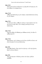## John 15:21

ἀλλὰ ταῦτα πάντα ποιήσουσιν εἰς ὑμᾶς διὰ τὸ ὄνομά μου, ὅτι οὐκ οἴδασιν τὸν πέμψαντά με.

# John 17:18

καθὼς ἐμὲ ἀπέστειλας εἰς τὸν κόσμον, κἀγὼ ἀπέστειλα αὐτοὺς εἰς τὸν κόσμον·

# John 17:21

ἵνα πάντες ἓν ὦσιν, καθὼς σύ, πάτερ, ἐν ἐμοὶ κἀγὼ ἐν σοί, ἵνα καὶ αὐτοὶ ἐν ἡμῖν ὦσιν, ἵνα ὁ κόσμος πιστεύῃ ὅτι σύ με ἀπέστειλας.

# John 17:22

κἀγὼ τὴν δόξαν ἣν δέδωκάς μοι δέδωκα αὐτοῖς, ἵνα ὦσιν ἓν καθὼς ἡμεῖς ἕν·

# John 17:25

πάτερ δίκαιε, καὶ ὁ κόσμος σε οὐκ ἔγνω, ἐγὼ δέ σε ἔγνων, καὶ οὗτοι ἔγνωσαν ὅτι σύ με ἀπέστειλας·

# John 18:8

ἀπεκρίθη Ἰησοῦς· εἶπον ὑμῖν ὅτι ἐγώ εἰμι. εἰ οὖν ἐμὲ ζητεῖτε, ἄφετε τούτους ὑπάγειν·

# John 19:8

Ὅτε οὖν ἤκουσεν ὁ Πιλᾶτος τοῦτον τὸν λόγον, μᾶλλον ἐφοβήθη,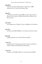## John 20:21

εἶπεν οὖν αὐτοῖς [ὁ Ἰησοῦς] πάλιν· εἰρήνη ὑμῖν· καθὼς ἀπέσταλκέν με ὁ πατήρ, κἀγὼ πέμπω ὑμᾶς.

## Acts 4:19

ὁ δὲ Πέτρος καὶ Ἰωάννης ἀποκριθέντες εἶπον πρὸς αὐτούς· εἰ δίκαιόν ἐστιν ἐνώπιον τοῦ θεοῦ ὑμῶν ἀκούειν μᾶλλον ἢ τοῦ θεοῦ, κρίνατε·

## Acts 14:25

καὶ λαλήσαντες ἐν Πέργῃ τὸν λόγον κατέβησαν εἰς Ἀττάλειαν

## Acts 19:5

ἀκούσαντες δὲ ἐβαπτίσθησαν εἰς τὸ ὄνομα τοῦ κυρίου Ἰησοῦ,

## Rom 3:10

καθὼς γέγραπται ὅτι οὐκ ἔστιν δίκαιος οὐδὲ εἷς,

## 1 Cor 1:12

λέγω δὲ τοῦτο ὅτι ἕκαστος ὑμῶν λέγει· ἐγὼ μέν εἰμι Παύλου, ἐγὼ δὲ Ἀπολλῶ, ἐγὼ δὲ Κηφᾶ, ἐγὼ δὲ Χριστοῦ.

## 1 Cor 7:24

ἕκαστος ἐν ᾧ ἐκλήθη, ἀδελφοί, ἐν τούτῳ μενέτω παρὰ θεῷ.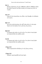## Gal 1:1

Παῦλος ἀπόστολος οὐκ ἀπ' ἀνθρώπων οὐδὲ δι' ἀνθρώπου ἀλλὰ διὰ Ἰησοῦ Χριστοῦ καὶ θεοῦ πατρὸς τοῦ ἐγείραντος αὐτὸν ἐκ νεκρῶν,

# Gal 1:19

ἕτερον δὲ τῶν ἀποστόλων οὐκ εἶδον εἰ μὴ Ἰάκωβον τὸν ἀδελφὸν τοῦ κυρίου.

## Eph 1:15

Διὰ τοῦτο κἀγὼ ἀκούσας τὴν καθ' ὑμᾶς πίστιν ἐν τῷ κυρίῳ Ἰησοῦ καὶ τὴν ἀγάπην τὴν εἰς πάντας τοὺς ἁγίους

# Eph 6:22

ὃν ἔπεμψα πρὸς ὑμᾶς εἰς αὐτὸ τοῦτο, ἵνα γνῶτε τὰ περὶ ἡμῶν καὶ παρακαλέσῃ τὰς καρδίας ὑμῶν.

# Col 4:8

ὃν ἔπεμψα πρὸς ὑμᾶς εἰς αὐτὸ τοῦτο, ἵνα γνῶτε τὰ περὶ ἡμῶν καὶ παρακαλέσῃ τὰς καρδίας ὑμῶν,

## 1 Thess 4:18

Ὥστε παρακαλεῖτε ἀλλήλους ἐν τοῖς λόγοις τούτοις.

## 1 Thess 5:25

Ἀδελφοί, προσεύχεσθε [καὶ] περὶ ἡμῶν.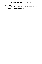## 1 John 2:29

ἐὰν εἰδῆτε ὅτι δίκαιός ἐστιν, γινώσκετε ὅτι καὶ πᾶς ὁ ποιῶν τὴν δικαιοσύνην ἐξ αὐτοῦ γεγέννηται.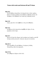#### Matt 10:2

Τῶν δὲ δώδεκα ἀποστόλων τὰ ὀνόματά ἐστιν ταῦτα· πρῶτος Σίμων ὁ λεγόμενος Πέτρος καὶ Ἀνδρέας ὁ ἀδελφὸς αὐτοῦ, καὶ Ἰάκωβος ὁ τοῦ Ζεβεδαίου καὶ Ἰωάννης ὁ ἀδελφὸς αὐτοῦ,

#### Matt 12:8

κύριος γάρ ἐστιν τοῦ σαββάτου ὁ υἱὸς τοῦ ἀνθρώπου.

#### Matt 14:5

καὶ θέλων αὐτὸν ἀποκτεῖναι ἐφοβήθη τὸν ὄχλον, ὅτι ὡς προφήτην αὐτὸν εἶχον.

#### Matt 23:3

πάντα οὖν ὅσα ἐὰν εἴπωσιν ὑμῖν ποιήσατε καὶ τηρεῖτε, κατὰ δὲ τὰ ἔργα αὐτῶν μὴ ποιεῖτε· λέγουσιν γὰρ καὶ οὐ ποιοῦσιν.

#### Matt 26:14

Τότε πορευθεὶς εἷς τῶν δώδεκα, ὁ λεγόμενος Ἰούδας Ἰσκαριώτης, πρὸς τοὺς ἀρχιερεῖς

#### Matt 27:36

καὶ καθήμενοι ἐτήρουν αὐτὸν ἐκεῖ.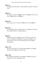#### Mark 1:8

ἐγὼ ἐβάπτισα ὑμᾶς ὕδατι, αὐτὸς δὲ βαπτίσει ὑμᾶς ἐν πνεύματι ἁγίῳ.

#### Mark 2:27

Καὶ ἔλεγεν αὐτοῖς· τὸ σάββατον διὰ τὸν ἄνθρωπον ἐγένετο καὶ οὐχ ὁ ἄνθρωπος διὰ τὸ σάββατον·

#### Mark 2:28

ὥστε κύριός ἐστιν ὁ υἱὸς τοῦ ἀνθρώπου καὶ τοῦ σαββάτου.

#### Mark 6:24

καὶ ἐξελθοῦσα εἶπεν τῇ μητρὶ αὐτῆς· τί αἰτήσωμαι; ἡ δὲ εἶπεν· τὴν κεφαλὴν Ἰωάννου τοῦ βαπτίζοντος.

#### Mark 9:31

ἐδίδασκεν γὰρ τοὺς μαθητὰς αὐτοῦ καὶ ἔλεγεν αὐτοῖς ὅτι ὁ υἱὸς τοῦ ἀνθρώπου παραδίδοται εἰς χεῖρας ἀνθρώπων, καὶ ἀποκτενοῦσιν αὐτόν, καὶ ἀποκτανθεὶς μετὰ τρεῖς ἡμέρας ἀναστήσεται.

#### Mark 11:24

διὰ τοῦτο λέγω ὑμῖν, πάντα ὅσα προσεύχεσθε καὶ αἰτεῖσθε, πιστεύετε ὅτι ἐλάβετε, καὶ ἔσται ὑμῖν.

## Mark 14:10

Καὶ Ἰούδας Ἰσκαριὼθ ὁ εἷς τῶν δώδεκα ἀπῆλθεν πρὸς τοὺς ἀρχιερεῖς ἵνα αὐτὸν παραδοῖ αὐτοῖς.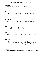#### Mark 15:8

καὶ ἀναβὰς ὁ ὄχλος ἤρξατο αἰτεῖσθαι καθὼς ἐποίει αὐτοῖς.

## Luke 6:5

καὶ ἔλεγεν αὐτοῖς· κύριός ἐστιν τοῦ σαββάτου ὁ υἱὸς τοῦ ἀνθρώπου.

## Luke 23:52

οὗτος προσελθὼν τῷ Πιλάτῳ ἠτήσατο τὸ σῶμα τοῦ Ἰησοῦ

## John 1:4

ἐν αὐτῷ ζωὴ ἦν, καὶ ἡ ζωὴ ἦν τὸ φῶς τῶν ἀνθρώπων·

## John 1:8

οὐκ ἦν ἐκεῖνος τὸ φῶς, ἀλλ' ἵνα μαρτυρήσῃ περὶ τοῦ φωτός.

## John 1:33

κἀγὼ οὐκ ᾔδειν αὐτόν, ἀλλ' ὁ πέμψας με βαπτίζειν ἐν ὕδατι ἐκεῖνός μοι εἶπεν· ἐφ' ὃν ἂν ἴδῃς τὸ πνεῦμα καταβαῖνον καὶ μένον ἐπ' αὐτόν, οὗτός ἐστιν ὁ βαπτίζων ἐν πνεύματι ἁγίῳ.

## John 1:34

κἀγὼ ἑώρακα καὶ μεμαρτύρηκα ὅτι οὗτός ἐστιν ὁ υἱὸς τοῦ θεοῦ.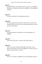#### John 3:5

ἀπεκρίθη Ἰησοῦς· ἀμὴν ἀμὴν λέγω σοι, ἐὰν μή τις γεννηθῇ ἐξ ὕδατος καὶ πνεύματος, οὐ δύναται εἰσελθεῖν εἰς τὴν βασιλείαν τοῦ θεοῦ.

#### John 3:15

ἵνα πᾶς ὁ πιστεύων ἐν αὐτῷ ἔχῃ ζωὴν αἰώνιον.

#### John 4:39

Ἐκ δὲ τῆς πόλεως ἐκείνης πολλοὶ ἐπίστευσαν εἰς αὐτὸν τῶν Σαμαριτῶν διὰ τὸν λόγον τῆς γυναικὸς μαρτυρούσης ὅτι εἶπέν μοι πάντα ἃ ἐποίησα.

## John 5:33

ὑμεῖς ἀπεστάλκατε πρὸς Ἰωάννην, καὶ μεμαρτύρηκεν τῇ άληθεία·

## John 6:47

Ἀμὴν ἀμὴν λέγω ὑμῖν, ὁ πιστεύων ἔχει ζωὴν αἰώνιον.

## John 6:53

εἶπεν οὖν αὐτοῖς ὁ Ἰησοῦς· ἀμὴν ἀμὴν λέγω ὑμῖν, ἐὰν μὴ φάγητε τὴν σάρκα τοῦ υἱοῦ τοῦ ἀνθρώπου καὶ πίητε αὐτοῦ τὸ αἷμα, οὐκ ἔχετε ζωὴν ἐν ἑαυτοῖς.

## John 6:67

εἶπεν οὖν ὁ Ἰησοῦς τοῖς δώδεκα· μὴ καὶ ὑμεῖς θέλετε ὑπάγειν;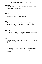## John 6:68

ἀπεκρίθη αὐτῷ Σίμων Πέτρος· κύριε, πρὸς τίνα ἀπελευσόμεθα; ῥήματα ζωῆς αἰωνίου ἔχεις,

## John 6:71

ἔλεγεν δὲ τὸν Ἰούδαν Σίμωνος Ἰσκαριώτου· οὗτος γὰρ ἔμελλεν παραδιδόναι αὐτόν, εἷς ἐκ τῶν δώδεκα.

#### John 7:1

Καὶ μετὰ ταῦτα περιεπάτει ὁ Ἰησοῦς ἐν τῇ Γαλιλαίᾳ· οὐ γὰρ ἤθελεν ἐν τῇ Ἰουδαίᾳ περιπατεῖν, ὅτι ἐζήτουν αὐτὸν οἱ Ἰουδαῖοι ἀποκτεῖναι.

## John 7:19

Οὐ Μωϋσῆς δέδωκεν ὑμῖν τὸν νόμον; καὶ οὐδεὶς ἐξ ὑμῶν ποιεῖ τὸν νόμον. τί με ζητεῖτε ἀποκτεῖναι;

## John 7:25

Ἔλεγον οὖν τινες ἐκ τῶν Ἱεροσολυμιτῶν· οὐχ οὗτός ἐστιν ὃν ζητοῦσιν ἀποκτεῖναι;

## John 8:40

νῦν δὲ ζητεῖτέ με ἀποκτεῖναι ἄνθρωπον ὃς τὴν ἀλήθειαν ὑμῖν λελάληκα ἣν ἤκουσα παρὰ τοῦ θεοῦ· τοῦτο Ἀβραὰμ οὐκ ἐποίησεν.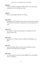## John 8:47

ὁ ὢν ἐκ τοῦ θεοῦ τὰ ῥήματα τοῦ θεοῦ ἀκούει· διὰ τοῦτο ὑμεῖς οὐκ ἀκούετε, ὅτι ἐκ τοῦ θεοῦ οὐκ ἐστέ.

## John 9:5

ὅταν ἐν τῷ κόσμῳ ὦ, φῶς εἰμι τοῦ κόσμου.

## John 10:25

ἀπεκρίθη αὐτοῖς ὁ Ἰησοῦς· εἶπον ὑμῖν καὶ οὐ πιστεύετε· τὰ ἔργα ἃ ἐγὼ ποιῶ ἐν τῷ ὀνόματι τοῦ πατρός μου ταῦτα μαρτυρεῖ περὶ ἐμοῦ·

## John 11:15

καὶ χαίρω δι' ὑμᾶς ἵνα πιστεύσητε, ὅτι οὐκ ἤμην ἐκεῖ· ἀλλ' ἄγωμεν πρὸς αὐτόν.

## John 11:22

[ἀλλὰ] καὶ νῦν οἶδα ὅτι ὅσα ἂν αἰτήσῃ τὸν θεὸν δώσει σοι ὁ θεός.

## John 13:9

λέγει αὐτῷ Σίμων Πέτρος· κύριε, μὴ τοὺς πόδας μου μόνον ἀλλὰ καὶ τὰς χεῖρας καὶ τὴν κεφαλήν.

## John 13:35

ἐν τούτῳ γνώσονται πάντες ὅτι ἐμοὶ μαθηταί ἐστε, ἐὰν ἀγάπην ἔχητε ἐν ἀλλήλοις.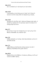## John 14:14

ἐάν τι αἰτήσητέ με ἐν τῷ ὀνόματί μου ἐγὼ ποιήσω.

## John 14:24

ὁ μὴ ἀγαπῶν με τοὺς λόγους μου οὐ τηρεῖ· καὶ ὁ λόγος ὃν ἀκούετε οὐκ ἔστιν ἐμὸς ἀλλὰ τοῦ πέμψαντός με πατρός.

## John 14:28

ἠκούσατε ὅτι ἐγὼ εἶπον ὑμῖν· ὑπάγω καὶ ἔρχομαι πρὸς ὑμᾶς. εἰ ἠγαπᾶτέ με ἐχάρητε ἂν ὅτι πορεύομαι πρὸς τὸν πατέρα, ὅτι ὁ πατὴρ μείζων μού ἐστιν.

## John 15:7

ἐὰν μείνητε ἐν ἐμοὶ καὶ τὰ ῥήματά μου ἐν ὑμῖν μείνῃ, ὃ ἐὰν θέλητε αἰτήσασθε, καὶ γενήσεται ὑμῖν.

## John 15:9

Καθὼς ἠγάπησέν με ὁ πατήρ, κἀγὼ ὑμᾶς ἠγάπησα· μείνατε ἐν τῇ ἀγάπῃ τῇ ἐμῇ.

## John 17:2

καθὼς ἔδωκας αὐτῷ ἐξουσίαν πάσης σαρκός, ἵνα πᾶν ὃ δέδωκας αὐτῷ δώσῃ αὐτοῖς ζωὴν αἰώνιον.

## John 20:24

Θωμᾶς δὲ εἷς ἐκ τῶν δώδεκα, ὁ λεγόμενος Δίδυμος, οὐκ ἦν μετ' αὐτῶν ὅτε ἦλθεν Ἰησοῦς.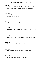# Acts 1:5

ὅτι Ἰωάννης μὲν ἐβάπτισεν ὕδατι, ὑμεῖς δὲ ἐν πνεύματι βαπτισθήσεσθε ἁγίῳ οὐ μετὰ πολλὰς ταύτας ἡμέρας.

# Acts 5:20

πορεύεσθε καὶ σταθέντες λαλεῖτε ἐν τῷ ἱερῷ τῷ λαῷ πάντα τὰ ῥήματα τῆς ζωῆς ταύτης.

# Acts 9:9

καὶ ἦν ἡμέρας τρεῖς μὴ βλέπων καὶ οὐκ ἔφαγεν οὐδὲ ἔπιεν.

# Acts 11:14

ὃς λαλήσει ῥήματα πρὸς σὲ ἐν οἷς σωθήσῃ σὺ καὶ πᾶς ὁ οἶκός σου.

# Acts 16:2

ὃς ἐμαρτυρεῖτο ὑπὸ τῶν ἐν Λύστροις καὶ Ἰκονίῳ ἀδελφῶν.

# Rom 8:14

ὅσοι γὰρ πνεύματι θεοῦ ἄγονται, οὗτοι υἱοὶ θεοῦ εἰσιν.

# 1 Cor 1:15

ἵνα μή τις εἴπῃ ὅτι εἰς τὸ ἐμὸν ὄνομα ἐβαπτίσθητε.

# 1 Cor 9:4

μὴ οὐκ ἔχομεν ἐξουσίαν φαγεῖν καὶ πεῖν;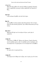## 1 Cor 11:3

Θέλω δὲ ὑμᾶς εἰδέναι ὅτι παντὸς ἀνδρὸς ἡ κεφαλὴ ὁ Χριστός ἐστιν, κεφαλὴ δὲ γυναικὸς ὁ ἀνήρ, κεφαλὴ δὲ τοῦ Χριστοῦ ὁ θεός.

## Gal 5:18

εἰ δὲ πνεύματι ἄγεσθε, οὐκ ἐστὲ ὑπὸ νόμον.

## Phil 3:9

καὶ εὑρεθῶ ἐν αὐτῷ, μὴ ἔχων ἐμὴν δικαιοσύνην τὴν ἐκ νόμου ἀλλὰ τὴν διὰ πίστεως Χριστοῦ, τὴν ἐκ θεοῦ δικαιοσύνην ἐπὶ τῇ πίστει,

## Heb 10:15

Μαρτυρεῖ δὲ ἡμῖν καὶ τὸ πνεῦμα τὸ ἅγιον· μετὰ γὰρ τὸ εἰρηκέναι·

## 1 John 5:6

οὗτός ἐστιν ὁ ἐλθὼν δι' ὕδατος καὶ αἵματος, Ἰησοῦς Χριστός, οὐκ ἐν τῷ ὕδατι μόνον, ἀλλ' ἐν τῷ ὕδατι καὶ ἐν τῷ αἵματι· καὶ τὸ πνεῦμά ἐστιν τὸ μαρτυροῦν, ὅτι τὸ πνεῦμά ἐστιν ἡ ἀλήθεια.

## 1 John 5:7

ὅτι τρεῖς εἰσιν οἱ μαρτυροῦντες,

## 1 John 5:8

τὸ πνεῦμα καὶ τὸ ὕδωρ καὶ τὸ αἷμα, καὶ οἱ τρεῖς εἰς τὸ ἕν εἰσιν.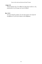## 1 John 5:13

Ταῦτα ἔγραψα ὑμῖν, ἵνα εἰδῆτε ὅτι ζωὴν ἔχετε αἰώνιον, τοῖς πιστεύουσιν εἰς τὸ ὄνομα τοῦ υἱοῦ τοῦ θεοῦ.

# Rev 13:13

καὶ ποιεῖ σημεῖα μεγάλα, ἵνα καὶ πῦρ ποιῇ ἐκ τοῦ οὐρανοῦ καταβαίνειν εἰς τὴν γῆν ἐνώπιον τῶν ἀνθρώπων,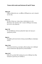#### Matt 6:10

ἐλθέτω ἡ βασιλεία σου· γενηθήτω τὸ θέλημά σου, ὡς ἐν οὐρανῷ καὶ ἐπὶ γῆς·

#### Matt 7:21

Οὐ πᾶς ὁ λέγων μοι· κύριε κύριε, εἰσελεύσεται εἰς τὴν βασιλείαν τῶν οὐρανῶν, ἀλλ' ὁ ποιῶν τὸ θέλημα τοῦ πατρός μου τοῦ ἐν τοῖς οὐρανοῖς.

#### Matt 7:29

ἦν γὰρ διδάσκων αὐτοὺς ὡς ἐξουσίαν ἔχων καὶ οὐχ ὡς οἱ γραμματεῖς αὐτῶν.

#### Matt 8:1

Καταβάντος δὲ αὐτοῦ ἀπὸ τοῦ ὄρους ἠκολούθησαν αὐτῷ ὄχλοι πολλοί.

#### Matt 12:46

Ἔτι αὐτοῦ λαλοῦντος τοῖς ὄχλοις ἰδοὺ ἡ μήτηρ καὶ οἱ ἀδελφοὶ αὐτοῦ εἱστήκεισαν ἔξω ζητοῦντες αὐτῷ λαλῆσαι.

#### Matt 12:47

[εἶπεν δέ τις αὐτῷ· ἰδοὺ ἡ μήτηρ σου καὶ οἱ ἀδελφοί σου ἔξω ἑστήκασιν ζητοῦντές σοι λαλῆσαι.]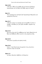## Matt 14:29

ὁ δὲ εἶπεν· ἐλθέ. καὶ καταβὰς ἀπὸ τοῦ πλοίου [ὁ] Πέτρος περιεπάτησεν ἐπὶ τὰ ὕδατα καὶ ἦλθεν πρὸς τὸν Ἰησοῦν.

# Matt 15:1

Τότε προσέρχονται τῷ Ἰησοῦ ἀπὸ Ἱεροσολύμων Φαρισαῖοι καὶ γραμματεῖς λέγοντες·

## Matt 19:17

ὁ δὲ εἶπεν αὐτῷ· τί με ἐρωτᾷς περὶ τοῦ ἀγαθοῦ; εἷς ἐστιν ὁ ἀγαθός· εἰ δὲ θέλεις εἰς τὴν ζωὴν εἰσελθεῖν, τήρησον τὰς ἐντολάς.

## Matt 21:43

διὰ τοῦτο λέγω ὑμῖν ὅτι ἀρθήσεται ἀφ' ὑμῶν ἡ βασιλεία τοῦ θεοῦ καὶ δοθήσεται ἔθνει ποιοῦντι τοὺς καρποὺς αὐτῆς.

## Matt 22:38

αὕτη ἐστὶν ἡ μεγάλη καὶ πρώτη ἐντολή.

## Matt 22:42

λέγων· τί ὑμῖν δοκεῖ περὶ τοῦ χριστοῦ; τίνος υἱός ἐστιν; λέγουσιν αὐτῷ· τοῦ Δαυίδ.

## Mark 3:15

καὶ ἔχειν ἐξουσίαν ἐκβάλλειν τὰ δαιμόνια·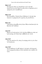## Mark 11:27

Καὶ ἔρχονται πάλιν εἰς Ἱεροσόλυμα. καὶ ἐν τῷ ἱερῷ περιπατοῦντος αὐτοῦ ἔρχονται πρὸς αὐτὸν οἱ ἀρχιερεῖς καὶ οἱ γραμματεῖς καὶ οἱ πρεσβύτεροι

### Mark 12:35

Καὶ ἀποκριθεὶς ὁ Ἰησοῦς ἔλεγεν διδάσκων ἐν τῷ ἱερῷ· πῶς λέγουσιν οἱ γραμματεῖς ὅτι ὁ χριστὸς υἱὸς Δαυίδ ἐστιν;

### Mark 15:9

ὁ δὲ Πιλᾶτος ἀπεκρίθη αὐτοῖς λέγων· θέλετε ἀπολύσω ὑμῖν τὸν βασιλέα τῶν Ἰουδαίων;

## Luke 8:18

Βλέπετε οὖν πῶς ἀκούετε· ὃς ἂν γὰρ ἔχῃ, δοθήσεται αὐτῷ· καὶ ὃς ἂν μὴ ἔχῃ, καὶ ὃ δοκεῖ ἔχειν ἀρθήσεται ἀπ' αὐτοῦ.

## Luke 16:27

εἶπεν δέ· ἐρωτῶ σε οὖν, πάτερ, ἵνα πέμψῃς αὐτὸν εἰς τὸν οἶκον τοῦ πατρός μου,

## Luke 19:47

Καὶ ἦν διδάσκων τὸ καθ' ἡμέραν ἐν τῷ ἱερῷ. οἱ δὲ ἀρχιερεῖς καὶ οἱ γραμματεῖς ἐζήτουν αὐτὸν ἀπολέσαι καὶ οἱ πρῶτοι τοῦ λαοῦ,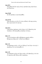#### Luke 20:3

ἀποκριθεὶς δὲ εἶπεν πρὸς αὐτούς· ἐρωτήσω ὑμᾶς κἀγὼ λόγον, καὶ εἴπατέ μοι·

#### Luke 22:68

ἐὰν δὲ ἐρωτήσω, οὐ μὴ ἀποκριθῆτε.

#### Luke 22:70

εἶπαν δὲ πάντες· σὺ οὖν εἶ ὁ υἱὸς τοῦ θεοῦ; ὁ δὲ πρὸς αὐτοὺς ἔφη· ὑμεῖς λέγετε ὅτι ἐγώ εἰμι.

#### Luke 23:3

ὁ δὲ Πιλᾶτος ἠρώτησεν αὐτὸν λέγων· σὺ εἶ ὁ βασιλεὺς τῶν Ἰουδαίων; ὁ δὲ ἀποκριθεὶς αὐτῷ ἔφη· σὺ λέγεις.

#### John 1:13

οἳ οὐκ ἐξ αἱμάτων οὐδὲ ἐκ θελήματος σαρκὸς οὐδὲ ἐκ θελήματος ἀνδρὸς ἀλλ' ἐκ θεοῦ ἐγεννήθησαν.

#### John 1:21

καὶ ἠρώτησαν αὐτόν· τί οὖν; σὺ Ἠλίας εἶ; καὶ λέγει· οὐκ εἰμί. ὁ προφήτης εἶ σύ; καὶ ἀπεκρίθη· οὔ.

#### John 1:25

καὶ ἠρώτησαν αὐτὸν καὶ εἶπαν αὐτῷ· τί οὖν βαπτίζεις εἰ σὺ οὐκ εἶ ὁ χριστὸς οὐδὲ Ἠλίας οὐδὲ ὁ προφήτης;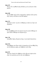### John 4:33

ἔλεγον οὖν οἱ μαθηταὶ πρὸς ἀλλήλους· μή τις ἤνεγκεν αὐτῷ φαγεῖν;

## John 4:40

ὡς οὖν ἦλθον πρὸς αὐτὸν οἱ Σαμαρῖται, ἠρώτων αὐτὸν μεῖναι παρ' αὐτοῖς· καὶ ἔμεινεν ἐκεῖ δύο ἡμέρας.

## John 5:12

ἠρώτησαν αὐτόν· τίς ἐστιν ὁ ἄνθρωπος ὁ εἰπών σοι· ἆρον καὶ περιπάτει;

## John 6:38

ὅτι καταβέβηκα ἀπὸ τοῦ οὐρανοῦ οὐχ ἵνα ποιῶ τὸ θέλημα τὸ ἐμὸν ἀλλὰ τὸ θέλημα τοῦ πέμψαντός με.

## John 7:20

ἀπεκρίθη ὁ ὄχλος· δαιμόνιον ἔχεις· τίς σε ζητεῖ ἀποκτεῖναι;

## John 9:34

ἀπεκρίθησαν καὶ εἶπαν αὐτῷ· ἐν ἁμαρτίαις σὺ ἐγεννήθης ὅλος καὶ σὺ διδάσκεις ἡμᾶς; καὶ ἐξέβαλον αὐτὸν ἔξω.

## John 9:35

Ἤκουσεν Ἰησοῦς ὅτι ἐξέβαλον αὐτὸν ἔξω καὶ εὑρὼν αὐτὸν εἶπεν· σὺ πιστεύεις εἰς τὸν υἱὸν τοῦ ἀνθρώπου;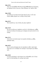### John 12:21

οὗτοι οὖν προσῆλθον Φιλίππῳ τῷ ἀπὸ Βηθσαϊδὰ τῆς Γαλιλαίας καὶ ἠρώτων αὐτὸν λέγοντες· κύριε, θέλομεν τὸν Ἰησοῦν ἰδεῖν.

### John 12:50

καὶ οἶδα ὅτι ἡ ἐντολὴ αὐτοῦ ζωὴ αἰώνιός ἐστιν. ἃ οὖν ἐγὼ λαλῶ, καθὼς εἴρηκέν μοι ὁ πατήρ, οὕτως λαλῶ.

### John 14:15

Ἐὰν ἀγαπᾶτέ με, τὰς ἐντολὰς τὰς ἐμὰς τηρήσετε·

### John 15:10

ἐὰν τὰς ἐντολάς μου τηρήσητε, μενεῖτε ἐν τῇ ἀγάπῃ μου, καθὼς ἐγὼ τὰς ἐντολὰς τοῦ πατρός μου τετήρηκα καὶ μένω αὐτοῦ ἐν τῇ ἀγάπῃ.

### John 15:12

Αὕτη ἐστὶν ἡ ἐντολὴ ἡ ἐμή, ἵνα ἀγαπᾶτε ἀλλήλους καθὼς ἠγάπησα ὑμᾶς.

### John 16:23

Καὶ ἐν ἐκείνῃ τῇ ἡμέρᾳ ἐμὲ οὐκ ἐρωτήσετε οὐδέν. ἀμὴν ἀμὴν λέγω ὑμῖν, ἄν τι αἰτήσητε τὸν πατέρα ἐν τῷ ὀνόματί μου δώσει ὑμῖν.

## John 16:26

ἐν ἐκείνῃ τῇ ἡμέρᾳ ἐν τῷ ὀνόματί μου αἰτήσεσθε, καὶ οὐ λέγω ὑμῖν ὅτι ἐγὼ ἐρωτήσω τὸν πατέρα περὶ ὑμῶν·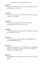#### John 17:9

Ἐγὼ περὶ αὐτῶν ἐρωτῶ, οὐ περὶ τοῦ κόσμου ἐρωτῶ ἀλλὰ περὶ ὧν δέδωκάς μοι, ὅτι σοί εἰσιν,

### John 17:15

οὐκ ἐρωτῶ ἵνα ἄρῃς αὐτοὺς ἐκ τοῦ κόσμου, ἀλλ' ἵνα τηρήσῃς αὐτοὺς ἐκ τοῦ πονηροῦ.

#### John 17:20

Οὐ περὶ τούτων δὲ ἐρωτῶ μόνον, ἀλλὰ καὶ περὶ τῶν πιστευόντων διὰ τοῦ λόγου αὐτῶν εἰς ἐμέ,

#### John 18:21

τί με ἐρωτᾷς; ἐρώτησον τοὺς ἀκηκοότας τί ἐλάλησα αὐτοῖς· ἴδε οὗτοι οἴδασιν ἃ εἶπον ἐγώ.

#### Acts 11:30

ὃ καὶ ἐποίησαν ἀποστείλαντες πρὸς τοὺς πρεσβυτέρους διὰ χειρὸς Βαρναβᾶ καὶ Σαύλου.

#### Acts 15:23

γράψαντες διὰ χειρὸς αὐτῶν· Οἱ ἀπόστολοι καὶ οἱ πρεσβύτεροι ἀδελφοὶ τοῖς κατὰ τὴν Ἀντιόχειαν καὶ Συρίαν καὶ Κιλικίαν ἀδελφοῖς τοῖς ἐξ ἐθνῶν χαίρειν.

### Rom 7:10

ἐγὼ δὲ ἀπέθανον καὶ εὑρέθη μοι ἡ ἐντολὴ ἡ εἰς ζωήν, αὕτη εἰς θάνατον·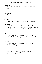## Rom 7:12

ὥστε ὁ μὲν νόμος ἅγιος καὶ ἡ ἐντολὴ ἁγία καὶ δικαία καὶ ἀγαθή.

# 1 Cor 10:12

Ὥστε ὁ δοκῶν ἑστάναι βλεπέτω μὴ πέσῃ.

# 1 Cor 10:31

Εἴτε οὖν ἐσθίετε εἴτε πίνετε εἴτε τι ποιεῖτε, πάντα εἰς δόξαν θεοῦ ποιεῖτε.

# 2 Cor 1:1

Παῦλος ἀπόστολος Χριστοῦ Ἰησοῦ διὰ θελήματος θεοῦ καὶ Τιμόθεος ὁ ἀδελφὸς τῇ ἐκκλησίᾳ τοῦ θεοῦ τῇ οὔσῃ ἐν Κορίνθῳ σὺν τοῖς ἁγίοις πᾶσιν τοῖς οὖσιν ἐν ὅλῃ τῇ Ἀχαΐᾳ,

# Eph 1:1

Παῦλος ἀπόστολος Χριστοῦ Ἰησοῦ διὰ θελήματος θεοῦ τοῖς ἁγίοις τοῖς οὖσιν [ἐν Ἐφέσῳ] καὶ πιστοῖς ἐν Χριστῷ Ἰησοῦ,

# Col 1:1

Παῦλος ἀπόστολος Χριστοῦ Ἰησοῦ διὰ θελήματος θεοῦ καὶ Τιμόθεος ὁ ἀδελφὸς

# Col 1:2

τοῖς ἐν Κολοσσαῖς ἁγίοις καὶ πιστοῖς ἀδελφοῖς ἐν Χριστῷ, χάρις ὑμῖν καὶ εἰρήνη ἀπὸ θεοῦ πατρὸς ἡμῶν.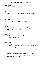### 1 Thess 5:24

πιστὸς ὁ καλῶν ὑμᾶς, ὃς καὶ ποιήσει.

### Heb 3:2

πιστὸν ὄντα τῷ ποιήσαντι αὐτὸν ὡς καὶ Μωϋσῆς ἐν [ὅλῳ] τῷ οἴκῳ αὐτοῦ.

## Heb 11:2

ἐν ταύτῃ γὰρ ἐμαρτυρήθησαν οἱ πρεσβύτεροι.

## 2 Pet 1:18

καὶ ταύτην τὴν φωνὴν ἡμεῖς ἠκούσαμεν ἐξ οὐρανοῦ ἐνεχθεῖσαν σὺν αὐτῷ ὄντες ἐν τῷ ἁγίῳ ὄρει.

## 1 John 2:3

Καὶ ἐν τούτῳ γινώσκομεν ὅτι ἐγνώκαμεν αὐτόν, ἐὰν τὰς ἐντολὰς αὐτοῦ τηρῶμεν.

## 1 John 3:23

Καὶ αὕτη ἐστὶν ἡ ἐντολὴ αὐτοῦ, ἵνα πιστεύσωμεν τῷ ὀνόματι τοῦ υἱοῦ αὐτοῦ Ἰησοῦ Χριστοῦ καὶ ἀγαπῶμεν ἀλλήλους, καθὼς ἔδωκεν ἐντολὴν ἡμῖν.

## 1 John 3:24

καὶ ὁ τηρῶν τὰς ἐντολὰς αὐτοῦ ἐν αὐτῷ μένει καὶ αὐτὸς ἐν αὐτῷ· καὶ ἐν τούτῳ γινώσκομεν ὅτι μένει ἐν ἡμῖν, ἐκ τοῦ πνεύματος οὗ ἡμῖν ἔδωκεν.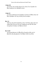## 1 John 4:21

καὶ ταύτην τὴν ἐντολὴν ἔχομεν ἀπ' αὐτοῦ, ἵνα ὁ ἀγαπῶν τὸν θεὸν ἀγαπᾷ καὶ τὸν ἀδελφὸν αὐτοῦ.

## 1 John 5:2

ἐν τούτῳ γινώσκομεν ὅτι ἀγαπῶμεν τὰ τέκνα τοῦ θεοῦ, ὅταν τὸν θεὸν ἀγαπῶμεν καὶ τὰς ἐντολὰς αὐτοῦ ποιῶμεν.

## Rev 1:4

Ἰωάννης ταῖς ἑπτὰ ἐκκλησίαις ταῖς ἐν τῇ Ἀσίᾳ· χάρις ὑμῖν καὶ εἰρήνη ἀπὸ ὁ ὢν καὶ ὁ ἦν καὶ ὁ ἐρχόμενος καὶ ἀπὸ τῶν ἑπτὰ πνευμάτων ἃ ἐνώπιον τοῦ θρόνου αὐτοῦ

## Rev 21:24

καὶ περιπατήσουσιν τὰ ἔθνη διὰ τοῦ φωτὸς αὐτῆς, καὶ οἱ βασιλεῖς τῆς γῆς φέρουσιν τὴν δόξαν αὐτῶν εἰς αὐτήν,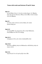#### Matt 3:9

καὶ μὴ δόξητε λέγειν ἐν ἑαυτοῖς· πατέρα ἔχομεν τὸν Ἀβραάμ. λέγω γὰρ ὑμῖν ὅτι δύναται ὁ θεὸς ἐκ τῶν λίθων τούτων ἐγεῖραι τέκνα τῷ Ἀβραάμ.

#### Matt 4:9

καὶ εἶπεν αὐτῷ· ταῦτά σοι πάντα δώσω, ἐὰν πεσὼν προσκυνήσῃς μοι.

#### Matt 8:19

καὶ προσελθὼν εἷς γραμματεὺς εἶπεν αὐτῷ· διδάσκαλε, ἀκολουθήσω σοι ὅπου ἐὰν ἀπέρχῃ.

#### Matt 10:12

εἰσερχόμενοι δὲ εἰς τὴν οἰκίαν ἀσπάσασθε αὐτήν·

#### Matt 10:24

Οὐκ ἔστιν μαθητὴς ὑπὲρ τὸν διδάσκαλον οὐδὲ δοῦλος ὑπὲρ τὸν κύριον αὐτοῦ.

#### Matt 12:6

λέγω δὲ ὑμῖν ὅτι τοῦ ἱεροῦ μεῖζόν ἐστιν ὧδε.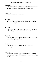## Matt 12:38

Τότε ἀπεκρίθησαν αὐτῷ τινες τῶν γραμματέων καὶ Φαρισαίων λέγοντες· διδάσκαλε, θέλομεν ἀπὸ σοῦ σημεῖον ἰδεῖν.

## Matt 14:18

ὁ δὲ εἶπεν· φέρετέ μοι ὧδε αὐτούς.

## Matt 19:16

Καὶ ἰδοὺ εἷς προσελθὼν αὐτῷ εἶπεν· διδάσκαλε, τί ἀγαθὸν ποιήσω ἵνα σχῶ ζωὴν αἰώνιον;

## Matt 20:20

Τότε προσῆλθεν αὐτῷ ἡ μήτηρ τῶν υἱῶν Ζεβεδαίου μετὰ τῶν υἱῶν αὐτῆς προσκυνοῦσα καὶ αἰτοῦσά τι ἀπ' αὐτοῦ.

## Matt 23:8

Ὑμεῖς δὲ μὴ κληθῆτε ῥαββί· εἷς γάρ ἐστιν ὑμῶν ὁ διδάσκαλος, πάντες δὲ ὑμεῖς ἀδελφοί ἐστε.

## Matt 24:23

Τότε ἐάν τις ὑμῖν εἴπῃ· ἰδοὺ ὧδε ὁ χριστός, ἤ· ὧδε, μὴ πιστεύσητε·

## Matt 27:17

συνηγμένων οὖν αὐτῶν εἶπεν αὐτοῖς ὁ Πιλᾶτος· τίνα θέλετε ἀπολύσω ὑμῖν, [Ἰησοῦν τὸν] Βαραββᾶν ἢ Ἰησοῦν τὸν λεγόμενον χριστόν;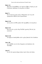## Mark 1:14

Μετὰ δὲ τὸ παραδοθῆναι τὸν Ἰωάννην ἦλθεν ὁ Ἰησοῦς εἰς τὴν Γαλιλαίαν κηρύσσων τὸ εὐαγγέλιον τοῦ θεοῦ

## Mark 7:1

Καὶ συνάγονται πρὸς αὐτὸν οἱ Φαρισαῖοι καί τινες τῶν γραμματέων ἐλθόντες ἀπὸ Ἱεροσολύμων.

## Mark 13:10

καὶ εἰς πάντα τὰ ἔθνη πρῶτον δεῖ κηρυχθῆναι τὸ εὐαγγέλιον.

## Mark 13:21

Καὶ τότε ἐάν τις ὑμῖν εἴπῃ· ἴδε ὧδε ὁ χριστός, ἴδε ἐκεῖ, μὴ πιστεύετε·

## Mark 15:18

καὶ ἤρξαντο ἀσπάζεσθαι αὐτόν· χαῖρε, βασιλεῦ τῶν Ἰουδαίων·

## Luke 1:40

καὶ εἰσῆλθεν εἰς τὸν οἶκον Ζαχαρίου καὶ ἠσπάσατο τὴν Έλισάβετ.

## Luke 4:7

σὺ οὖν ἐὰν προσκυνήσῃς ἐνώπιον ἐμοῦ, ἔσται σοῦ πᾶσα.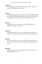### Luke 7:40

Καὶ ἀποκριθεὶς ὁ Ἰησοῦς εἶπεν πρὸς αὐτόν· Σίμων, ἔχω σοί τι εἰπεῖν. ὁ δέ· διδάσκαλε, εἰπέ, φησίν.

## John 3:2

οὗτος ἦλθεν πρὸς αὐτὸν νυκτὸς καὶ εἶπεν αὐτῷ· ῥαββί, οἴδαμεν ὅτι ἀπὸ θεοῦ ἐλήλυθας διδάσκαλος· οὐδεὶς γὰρ δύναται ταῦτα τὰ σημεῖα ποιεῖν ἃ σὺ ποιεῖς, ἐὰν μὴ ᾖ ὁ θεὸς μετ' αὐτοῦ.

#### John 3:10

ἀπεκρίθη Ἰησοῦς καὶ εἶπεν αὐτῷ· σὺ εἶ ὁ διδάσκαλος τοῦ Ἰσραὴλ καὶ ταῦτα οὐ γινώσκεις;

#### John 4:20

οἱ πατέρες ἡμῶν ἐν τῷ ὄρει τούτῳ προσεκύνησαν· καὶ ὑμεῖς λέγετε ὅτι ἐν Ἱεροσολύμοις ἐστὶν ὁ τόπος ὅπου προσκυνεῖν δεῖ.

### John 4:21

λέγει αὐτῇ ὁ Ἰησοῦς· πίστευέ μοι, γύναι, ὅτι ἔρχεται ὥρα ὅτε οὔτε ἐν τῷ ὄρει τούτῳ οὔτε ἐν Ἱεροσολύμοις προσκυνήσετε τῷ πατρί.

### John 4:24

πνεῦμα ὁ θεός, καὶ τοὺς προσκυνοῦντας αὐτὸν ἐν πνεύματι καὶ ἀληθείᾳ δεῖ προσκυνεῖν.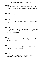### John 9:27

ἀπεκρίθη αὐτοῖς· εἶπον ὑμῖν ἤδη καὶ οὐκ ἠκούσατε· τί πάλιν θέλετε ἀκούειν; μὴ καὶ ὑμεῖς θέλετε αὐτοῦ μαθηταὶ γενέσθαι;

### John 9:38

ὁ δὲ ἔφη· πιστεύω, κύριε· καὶ προσεκύνησεν αὐτῷ.

### John 11:21

εἶπεν οὖν ἡ Μάρθα πρὸς τὸν Ἰησοῦν· κύριε, εἰ ἦς ὧδε οὐκ ἂν ἀπέθανεν ὁ ἀδελφός μου·

### John 11:32

Ἡ οὖν Μαριὰμ ὡς ἦλθεν ὅπου ἦν Ἰησοῦς ἰδοῦσα αὐτὸν ἔπεσεν αὐτοῦ πρὸς τοὺς πόδας λέγουσα αὐτῷ· κύριε, εἰ ἦς ὧδε οὐκ ἄν μου ἀπέθανεν ὁ ἀδελφός.

### John 12:23

Ὁ δὲ Ἰησοῦς ἀποκρίνεται αὐτοῖς λέγων· ἐλήλυθεν ἡ ὥρα ἵνα δοξασθῇ ὁ υἱὸς τοῦ ἀνθρώπου.

### John 12:28

πάτερ, δόξασόν σου τὸ ὄνομα. ἦλθεν οὖν φωνὴ ἐκ τοῦ οὐρανοῦ· καὶ ἐδόξασα καὶ πάλιν δοξάσω.

### John 13:31

Ὅτε οὖν ἐξῆλθεν, λέγει Ἰησοῦς· νῦν ἐδοξάσθη ὁ υἱὸς τοῦ ἀνθρώπου καὶ ὁ θεὸς ἐδοξάσθη ἐν αὐτῷ·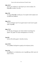## John 14:13

καὶ ὅ τι ἂν αἰτήσητε ἐν τῷ ὀνόματί μου τοῦτο ποιήσω, ἵνα δοξασθῇ ὁ πατὴρ ἐν τῷ υἱῷ.

### John 15:8

ἐν τούτῳ ἐδοξάσθη ὁ πατήρ μου, ἵνα καρπὸν πολὺν φέρητε καὶ γένησθε ἐμοὶ μαθηταί.

### John 15:11

Ταῦτα λελάληκα ὑμῖν ἵνα ἡ χαρὰ ἡ ἐμὴ ἐν ὑμῖν ἦ καὶ ἡ χαρὰ ὑμῶν πληρωθῇ.

## John 17:13

νῦν δὲ πρὸς σὲ ἔρχομαι καὶ ταῦτα λαλῶ ἐν τῷ κόσμῳ ἵνα ἔχωσιν τὴν χαρὰν τὴν ἐμὴν πεπληρωμένην ἐν ἑαυτοῖς.

## Acts 8:8

ἐγένετο δὲ πολλὴ χαρὰ ἐν τῇ πόλει ἐκείνῃ.

## Acts 13:52

οἵ τε μαθηταὶ ἐπληροῦντο χαρᾶς καὶ πνεύματος ἁγίου.

## Acts 15:6

Συνήχθησάν τε οἱ ἀπόστολοι καὶ οἱ πρεσβύτεροι ἰδεῖν περὶ τοῦ λόγου τούτου.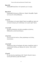#### Rom 16:8

ἀσπάσασθε Ἀμπλιᾶτον τὸν ἀγαπητόν μου ἐν κυρίῳ.

### Rom 16:14

ἀσπάσασθε Ἀσύγκριτον, Φλέγοντα, Ἑρμῆν, Πατροβᾶν, Ἑρμᾶν καὶ τοὺς σὺν αὐτοῖς ἀδελφούς.

### 1 Cor 5:4

ἐν τῷ ὀνόματι τοῦ κυρίου [ἡμῶν] Ἰησοῦ συναχθέντων ὑμῶν καὶ τοῦ ἐμοῦ πνεύματος σὺν τῇ δυνάμει τοῦ κυρίου ἡμῶν Ἰησοῦ,

### 1 Cor 12:29

μὴ πάντες ἀπόστολοι; μὴ πάντες προφῆται; μὴ πάντες διδάσκαλοι; μὴ πάντες δυνάμεις;

## 1 Cor 15:11

εἴτε οὖν ἐγὼ εἴτε ἐκεῖνοι, οὕτως κηρύσσομεν καὶ οὕτως ἐπιστεύσατε.

## 1 Cor 16:19

Ἀσπάζονται ὑμᾶς αἱ ἐκκλησίαι τῆς Ἀσίας. ἀσπάζεται ὑμᾶς ἐν κυρίῳ πολλὰ Ἀκύλας καὶ Πρίσκα σὺν τῇ κατ' οἶκον αὐτῶν έκκλησία.

### 2 Cor 4:5

Οὐ γὰρ ἑαυτοὺς κηρύσσομεν ἀλλ' Ἰησοῦν Χριστὸν κύριον, ἑαυτοὺς δὲ δούλους ὑμῶν διὰ Ἰησοῦν.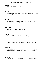### Gal 1:24

καὶ ἐδόξαζον ἐν ἐμοὶ τὸν θεόν.

### Phil 4:21

Ἀσπάσασθε πάντα ἅγιον ἐν Χριστῷ Ἰησοῦ. ἀσπάζονται ὑμᾶς οἱ σὺν ἐμοὶ ἀδελφοί.

## Col 4:15

Ἀσπάσασθε τοὺς ἐν Λαοδικείᾳ ἀδελφοὺς καὶ Νύμφαν καὶ τὴν κατ' οἶκον αὐτῆς ἐκκλησίαν.

### 1 Thess 2:20

ὑμεῖς γάρ ἐστε ἡ δόξα ἡμῶν καὶ ἡ χαρά.

## 2 Tim 4:19

Ἄσπασαι Πρίσκαν καὶ Ἀκύλαν καὶ τὸν Ὀνησιφόρου οἶκον.

## 1 John 1:4

καὶ ταῦτα γράφομεν ἡμεῖς, ἵνα ἡ χαρὰ ἡμῶν ἦ πεπληρωμένη.

## 1 John 4:7

Ἀγαπητοί, ἀγαπῶμεν ἀλλήλους, ὅτι ἡ ἀγάπη ἐκ τοῦ θεοῦ ἐστιν, καὶ πᾶς ὁ ἀγαπῶν ἐκ τοῦ θεοῦ γεγέννηται καὶ γινώσκει τὸν θεόν.

## 3 John 1:1

Ὁ πρεσβύτερος Γαΐῳ τῷ ἀγαπητῷ, ὃν ἐγὼ ἀγαπῶ ἐν ἀληθείᾳ.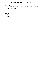## 3 John 1:4

μειζοτέραν τούτων οὐκ ἔχω χαράν, ἵνα ἀκούω τὰ ἐμὰ τέκνα ἐν ἀληθείᾳ περιπατοῦντα.

# Rev 16:16

Καὶ συνήγαγεν αὐτοὺς εἰς τὸν τόπον τὸν καλούμενον Ἑβραϊστὶ Ἁρμαγεδών.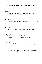#### Matt 9:8

ἰδόντες δὲ οἱ ὄχλοι ἐφοβήθησαν καὶ ἐδόξασαν τὸν θεὸν τὸν δόντα ἐξουσίαν τοιαύτην τοῖς ἀνθρώποις.

#### Matt 10:40

Ὁ δεχόμενος ὑμᾶς ἐμὲ δέχεται, καὶ ὁ ἐμὲ δεχόμενος δέχεται τὸν ἀποστείλαντά με.

#### Matt 11:14

καὶ εἰ θέλετε δέξασθαι, αὐτός ἐστιν Ἠλίας ὁ μέλλων ἔρχεσθαι.

#### Matt 17:10

Καὶ ἐπηρώτησαν αὐτὸν οἱ μαθηταὶ λέγοντες· τί οὖν οἱ γραμματεῖς λέγουσιν ὅτι Ἠλίαν δεῖ ἐλθεῖν πρῶτον;

#### Matt 22:41

Συνηγμένων δὲ τῶν Φαρισαίων ἐπηρώτησεν αὐτοὺς ὁ Ἰησοῦς

#### Matt 26:44

Καὶ ἀφεὶς αὐτοὺς πάλιν ἀπελθὼν προσηύξατο ἐκ τρίτου τὸν αὐτὸν λόγον εἰπὼν πάλιν.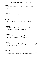#### Matt 27:49

οἱ δὲ λοιποὶ ἔλεγον· ἄφες ἴδωμεν εἰ ἔρχεται Ἠλίας σώσων αὐτόν.

#### Matt 27:50

δ δε Ίησοῦς πάλιν κράξας φωνῆ μεγάλη ἀφῆκεν τὸ πνεῦμα.

#### Mark 1:1

Ἀρχὴ τοῦ εὐαγγελίου Ἰησοῦ Χριστοῦ [υἱοῦ θεοῦ].

#### Mark 1:39

Καὶ ἦλθεν κηρύσσων εἰς τὰς συναγωγὰς αὐτῶν εἰς ὅλην τὴν Γαλιλαίαν καὶ τὰ δαιμόνια ἐκβάλλων.

#### Mark 8:29

καὶ αὐτὸς ἐπηρώτα αὐτούς· ὑμεῖς δὲ τίνα με λέγετε εἶναι; ἀποκριθεὶς ὁ Πέτρος λέγει αὐτῷ· σὺ εἶ ὁ χριστός.

#### Mark 9:11

Καὶ ἐπηρώτων αὐτὸν λέγοντες· ὅτι λέγουσιν οἱ γραμματεῖς ὅτι Ἠλίαν δεῖ ἐλθεῖν πρῶτον;

#### Mark 9:28

Καὶ εἰσελθόντος αὐτοῦ εἰς οἶκον οἱ μαθηταὶ αὐτοῦ κατ' ἰδίαν ἐπηρώτων αὐτόν· ὅτι ἡμεῖς οὐκ ἠδυνήθημεν ἐκβαλεῖν αὐτό;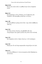#### Mark 10:10

Καὶ εἰς τὴν οἰκίαν πάλιν οἱ μαθηταὶ περὶ τούτου ἐπηρώτων αὐτόν.

### Mark 15:2

Καὶ ἐπηρώτησεν αὐτὸν ὁ Πιλᾶτος· σὺ εἶ ὁ βασιλεὺς τῶν Ἰουδαίων; ὁ δὲ ἀποκριθεὶς αὐτῷ λέγει· σὺ λέγεις.

#### Luke 1:60

καὶ ἀποκριθεῖσα ἡ μήτηρ αὐτοῦ εἶπεν· οὐχί, ἀλλὰ κληθήσεται Ἰωάννης.

#### Luke 2:10

καὶ εἶπεν αὐτοῖς ὁ ἄγγελος· μὴ φοβεῖσθε, ἰδοὺ γὰρ εὐαγγελίζομαι ὑμῖν χαρὰν μεγάλην ἥτις ἔσται παντὶ τῷ λαῷ,

#### Luke 3:10

Καὶ ἐπηρώτων αὐτὸν οἱ ὄχλοι λέγοντες· τί οὖν ποιήσωμεν;

#### Luke 3:18

Πολλὰ μὲν οὖν καὶ ἕτερα παρακαλῶν εὐηγγελίζετο τὸν λαόν.

#### Luke 4:15

καὶ αὐτὸς ἐδίδασκεν ἐν ταῖς συναγωγαῖς αὐτῶν δοξαζόμενος ὑπὸ πάντων.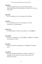#### Luke 4:43

ὁ δὲ εἶπεν πρὸς αὐτοὺς ὅτι καὶ ταῖς ἑτέραις πόλεσιν εὐαγγελίσασθαί με δεῖ τὴν βασιλείαν τοῦ θεοῦ, ὅτι ἐπὶ τοῦτο ἀπεστάλην.

### Luke 4:44

Καὶ ἦν κηρύσσων εἰς τὰς συναγωγὰς τῆς Ἰουδαίας.

### Luke 9:53

καὶ οὐκ ἐδέξαντο αὐτόν, ὅτι τὸ πρόσωπον αὐτοῦ ἦν πορευόμενον εἰς Ἰερουσαλήμ.

### Luke 13:10

<sup>7</sup> Ην δὲ διδάσκων ἐν μιῷ τῶν συναγωγῶν ἐν τοῖς σάββασιν.

### Luke 22:69

ἀπὸ τοῦ νῦν δὲ ἔσται ὁ υἱὸς τοῦ ἀνθρώπου καθήμενος ἐκ δεξιῶν τῆς δυνάμεως τοῦ θεοῦ.

### Luke 23:6

Πιλᾶτος δὲ ἀκούσας ἐπηρώτησεν εἰ ὁ ἄνθρωπος Γαλιλαῖός ἐστιν,

### Luke 24:10

ἦσαν δὲ ἡ Μαγδαληνὴ Μαρία καὶ Ἰωάννα καὶ Μαρία ἡ Ἰακώβου καὶ αἱ λοιπαὶ σὺν αὐταῖς. ἔλεγον πρὸς τοὺς ἀποστόλους ταῦτα,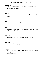### Luke 24:36

Ταῦτα δὲ αὐτῶν λαλούντων αὐτὸς ἔστη ἐν μέσῳ αὐτῶν καὶ λέγει αὐτοῖς· εἰρήνη ὑμῖν.

## John 1:1

Ἐν ἀρχῇ ἦν ὁ λόγος, καὶ ὁ λόγος ἦν πρὸς τὸν θεόν, καὶ θεὸς ἦν ὁ λόγος.

## John 1:2

οὗτος ἦν ἐν ἀρχῇ πρὸς τὸν θεόν.

## John 1:26

ἀπεκρίθη αὐτοῖς ὁ Ἰωάννης λέγων· ἐγὼ βαπτίζω ἐν ὕδατι· μέσος ὑμῶν ἕστηκεν ὃν ὑμεῖς οὐκ οἴδατε,

## John 4:19

Λέγει αὐτῷ ἡ γυνή· κύριε, θεωρῶ ὅτι προφήτης εἶ σύ.

## John 6:59

Ταῦτα εἶπεν ἐν συναγωγῇ διδάσκων ἐν Καφαρναούμ.

## John 6:64

ἀλλ' εἰσὶν ἐξ ὑμῶν τινες οἳ οὐ πιστεύουσιν. ᾔδει γὰρ ἐξ ἀρχῆς ὁ Ἰησοῦς τίνες εἰσὶν οἱ μὴ πιστεύοντες καὶ τίς ἐστιν ὁ παραδώσων αὐτόν.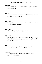#### John 8:25

Ἔλεγον οὖν αὐτῷ· σὺ τίς εἶ; εἶπεν αὐτοῖς ὁ Ἰησοῦς· τὴν ἀρχὴν ὅ τι καὶ λαλῶ ὑμῖν;

#### John 8:51

ἀμὴν ἀμὴν λέγω ὑμῖν, ἐάν τις τὸν ἐμὸν λόγον τηρήσῃ, θάνατον οὐ μὴ θεωρήσῃ εἰς τὸν αἰῶνα.

#### John 12:44

Ἰησοῦς δὲ ἔκραξεν καὶ εἶπεν· ὁ πιστεύων εἰς ἐμὲ οὐ πιστεύει εἰς ἐμὲ ἀλλ' εἰς τὸν πέμψαντά με,

#### John 12:45

καὶ ὁ θεωρῶν ἐμὲ θεωρεῖ τὸν πέμψαντά με.

#### John 14:17

τὸ πνεῦμα τῆς ἀληθείας, ὃ ὁ κόσμος οὐ δύναται λαβεῖν, ὅτι οὐ θεωρεῖ αὐτὸ οὐδὲ γινώσκει· ὑμεῖς γινώσκετε αὐτό, ὅτι παρ' ὑμῖν μένει καὶ ἐν ὑμῖν ἔσται.

#### John 15:27

καὶ ὑμεῖς δὲ μαρτυρεῖτε, ὅτι ἀπ' ἀρχῆς μετ' ἐμοῦ ἐστε.

#### John 18:7

Πάλιν οὖν ἐπηρώτησεν αὐτούς· τίνα ζητεῖτε; οἱ δὲ εἶπαν· Ἰησοῦν τὸν Ναζωραῖον.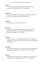## Acts 1:7

εἶπεν δὲ πρὸς αὐτούς· οὐχ ὑμῶν ἐστιν γνῶναι χρόνους ἢ καιροὺς οὓς ὁ πατὴρ ἔθετο ἐν τῇ ἰδίᾳ ἐξουσίᾳ,

## Acts 2:34

οὐ γὰρ Δαυὶδ ἀνέβη εἰς τοὺς οὐρανούς, λέγει δὲ αὐτός· εἶπεν [ὁ] κύριος τῷ κυρίῳ μου κάθου ἐκ δεξιῶν μου,

## Acts 7:50

οὐχὶ ἡ χείρ μου ἐποίησεν ταῦτα πάντα;

## Acts 8:12

ὅτε δὲ ἐπίστευσαν τῷ Φιλίππῳ εὐαγγελιζομένῳ περὶ τῆς βασιλείας τοῦ θεοῦ καὶ τοῦ ὀνόματος Ἰησοῦ Χριστοῦ, ἐβαπτίζοντο ἄνδρες τε καὶ γυναῖκες.

## Acts 8:14

Ἀκούσαντες δὲ οἱ ἐν Ἱεροσολύμοις ἀπόστολοι ὅτι δέδεκται ἡ Σαμάρεια τὸν λόγον τοῦ θεοῦ, ἀπέστειλαν πρὸς αὐτοὺς Πέτρον καὶ Ἰωάννην,

## Acts 10:36

τὸν λόγον [ὃν] ἀπέστειλεν τοῖς υἱοῖς Ἰσραὴλ εὐαγγελιζόμενος εἰρήνην διὰ Ἰησοῦ Χριστοῦ, οὗτός ἐστιν πάντων κύριος,

# Acts 11:1

Ἤκουσαν δὲ οἱ ἀπόστολοι καὶ οἱ ἀδελφοὶ οἱ ὄντες κατὰ τὴν Ἰουδαίαν ὅτι καὶ τὰ ἔθνη ἐδέξαντο τὸν λόγον τοῦ θεοῦ.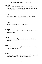# Acts 11:20

Ἦσαν δέ τινες ἐξ αὐτῶν ἄνδρες Κύπριοι καὶ Κυρηναῖοι, οἵτινες ἐλθόντες εἰς Ἀντιόχειαν ἐλάλουν καὶ πρὸς τοὺς Ἑλληνιστὰς εὐαγγελιζόμενοι τὸν κύριον Ἰησοῦν.

# Acts 15:33

ποιήσαντες δὲ χρόνον ἀπελύθησαν μετ' εἰρήνης ἀπὸ τῶν ἀδελφῶν πρὸς τοὺς ἀποστείλαντας αὐτούς.

## Acts 17:33

οὕτως ὁ Παῦλος ἐξῆλθεν ἐκ μέσου αὐτῶν.

# 1 Cor 1:16

ἐβάπτισα δὲ καὶ τὸν Στεφανᾶ οἶκον, λοιπὸν οὐκ οἶδα εἴ τινα ἄλλον ἐβάπτισα.

## Col 2:10

καὶ ἐστὲ ἐν αὐτῷ πεπληρωμένοι, ὅς ἐστιν ἡ κεφαλὴ πάσης ἀρχῆς καὶ ἐξουσίας.

## 1 Pet 1:25

τὸ δὲ ῥῆμα κυρίου μένει εἰς τὸν αἰῶνα. τοῦτο δέ ἐστιν τὸ ῥῆμα τὸ εὐαγγελισθὲν εἰς ὑμᾶς.

## 1 Pet 4:6

εἰς τοῦτο γὰρ καὶ νεκροῖς εὐηγγελίσθη, ἵνα κριθῶσιν μὲν κατὰ ἀνθρώπους σαρκί, ζῶσιν δὲ κατὰ θεὸν πνεύματι.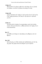# 1 John 2:15

Μὴ άγαπᾶτε τὸν κόσμον μηδὲ τὰ ἐν τῷ κόσμῳ. ἐάν τις ἀγαπῷ τὸν κόσμον, οὐκ ἔστιν ἡ ἀγάπη τοῦ πατρὸς ἐν αὐτῷ·

# 1 John 2:24

ὑμεῖς ὃ ἠκούσατε ἀπ' ἀρχῆς, ἐν ὑμῖν μενέτω. ἐὰν ἐν ὑμῖν μείνῃ ὃ ἀπ' ἀρχῆς ἠκούσατε, καὶ ὑμεῖς ἐν τῷ υἱῷ καὶ ἐν τῷ πατρὶ μενεῖτε.

# 2 John 1:6

καὶ αὕτη ἐστὶν ἡ ἀγάπη, ἵνα περιπατῶμεν κατὰ τὰς ἐντολὰς αὐτοῦ· αὕτη ἡ ἐντολή ἐστιν, καθὼς ἠκούσατε ἀπ' ἀρχῆς, ἵνα ἐν αὐτῇ περιπατῆτε.

# Rev 5:7

καὶ ἦλθεν καὶ εἴληφεν ἐκ τῆς δεξιᾶς τοῦ καθημένου ἐπὶ τοῦ θρόνου.

# Rev 10:5

Καὶ ὁ ἄγγελος, ὃν εἶδον ἑστῶτα ἐπὶ τῆς θαλάσσης καὶ ἐπὶ τῆς γῆς, ἦρεν τὴν χεῖρα αὐτοῦ τὴν δεξιὰν εἰς τὸν οὐρανὸν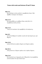#### Matt 13:3

Καὶ ἐλάλησεν αὐτοῖς πολλὰ ἐν παραβολαῖς λέγων· ἰδοὺ ἐξῆλθεν ὁ σπείρων τοῦ σπείρειν.

#### Matt 13:10

Καὶ προσελθόντες οἱ μαθηταὶ εἶπαν αὐτῷ· διὰ τί ἐν παραβολαῖς λαλεῖς αὐτοῖς;

#### Matt 13:18

Ὑμεῖς οὖν ἀκούσατε τὴν παραβολὴν τοῦ σπείραντος.

#### Matt 18:5

καὶ ὃς ἐὰν δέξηται ἓν παιδίον τοιοῦτο ἐπὶ τῷ ὀνόματί μου, ἐμὲ δέχεται.

#### Matt 19:30

πολλοὶ δὲ ἔσονται πρῶτοι ἔσχατοι καὶ ἔσχατοι πρῶτοι.

#### Matt 20:16

οὕτως ἔσονται οἱ ἔσχατοι πρῶτοι καὶ οἱ πρῶτοι ἔσχατοι.

#### Matt 21:45

Καὶ ἀκούσαντες οἱ ἀρχιερεῖς καὶ οἱ Φαρισαῖοι τὰς παραβολὰς αὐτοῦ ἔγνωσαν ὅτι περὶ αὐτῶν λέγει·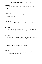#### Matt 22:1

Καὶ ἀποκριθεὶς ὁ Ἰησοῦς πάλιν εἶπεν ἐν παραβολαῖς αὐτοῖς λέγων·

### Matt 24:46

μακάριος ὁ δοῦλος ἐκεῖνος ὃν ἐλθὼν ὁ κύριος αὐτοῦ εὑρήσει οὕτως ποιοῦντα·

#### Matt 26:54

πῶς οὖν πληρωθῶσιν αἱ γραφαὶ ὅτι οὕτως δεῖ γενέσθαι;

#### Matt 27:20

Οἱ δὲ ἀρχιερεῖς καὶ οἱ πρεσβύτεροι ἔπεισαν τοὺς ὄχλους ἵνα αἰτήσωνται τὸν Βαραββᾶν, τὸν δὲ Ἰησοῦν ἀπολέσωσιν.

#### Mark 1:29

Καὶ εὐθὺς ἐκ τῆς συναγωγῆς ἐξελθόντες ἦλθον εἰς τὴν οἰκίαν Σίμωνος καὶ Ἀνδρέου μετὰ Ἰακώβου καὶ Ἰωάννου.

#### Mark 4:3

Ἀκούετε. ἰδοὺ ἐξῆλθεν ὁ σπείρων σπεῖραι.

#### Mark 4:10

Καὶ ὅτε ἐγένετο κατὰ μόνας, ἠρώτων αὐτὸν οἱ περὶ αὐτὸν σὺν τοῖς δώδεκα τὰς παραβολάς.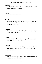### Mark 4:13

Καὶ λέγει αὐτοῖς· οὐκ οἴδατε τὴν παραβολὴν ταύτην, καὶ πῶς πάσας τὰς παραβολὰς γνώσεσθε;

### Mark 4:14

ὁ σπείρων τὸν λόγον σπείρει.

### Mark 4:15

οὗτοι δέ εἰσιν οἱ παρὰ τὴν ὁδόν· ὅπου σπείρεται ὁ λόγος καὶ ὅταν ἀκούσωσιν, εὐθὺς ἔρχεται ὁ σατανᾶς καὶ αἴρει τὸν λόγον τὸν ἐσπαρμένον εἰς αὐτούς.

#### Mark 4:33

Καὶ τοιαύταις παραβολαῖς πολλαῖς ἐλάλει αὐτοῖς τὸν λόγον καθὼς ἠδύναντο ἀκούειν·

### Mark 7:17

Καὶ ὅτε εἰσῆλθεν εἰς οἶκον ἀπὸ τοῦ ὄχλου, ἐπηρώτων αὐτὸν οἱ μαθηταὶ αὐτοῦ τὴν παραβολήν.

### Mark 9:37

ὃς ἂν ἓν τῶν τοιούτων παιδίων δέξηται ἐπὶ τῷ ὀνόματί μου, ἐμὲ δέχεται· καὶ ὃς ἂν ἐμὲ δέχηται, οὐκ ἐμὲ δέχεται ἀλλὰ τὸν ἀποστείλαντά με.

### Mark 10:15

ἀμὴν λέγω ὑμῖν, ὃς ἂν μὴ δέξηται τὴν βασιλείαν τοῦ θεοῦ ὡς παιδίον, οὐ μὴ εἰσέλθῃ εἰς αὐτήν.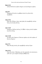### Mark 10:31

πολλοὶ δὲ ἔσονται πρῶτοι ἔσχατοι καὶ [οἱ] ἔσχατοι πρῶτοι.

#### Luke 8:9

Ἐπηρώτων δὲ αὐτὸν οἱ μαθηταὶ αὐτοῦ τίς αὕτη εἴη ἡ παραβολή.

### Luke 12:41

Εἶπεν δὲ ὁ Πέτρος· κύριε, πρὸς ἡμᾶς τὴν παραβολὴν ταύτην λέγεις ἢ καὶ πρὸς πάντας;

### Luke 12:43

μακάριος ὁ δοῦλος ἐκεῖνος, ὃν ἐλθὼν ὁ κύριος αὐτοῦ εὑρήσει ποιοῦντα οὕτως.

### Luke 13:30

καὶ ἰδοὺ εἰσὶν ἔσχατοι οἳ ἔσονται πρῶτοι καὶ εἰσὶν πρῶτοι οἳ ἔσονται ἔσχατοι.

### Luke 15:3

Εἶπεν δὲ πρὸς αὐτοὺς τὴν παραβολὴν ταύτην λέγων·

### Luke 16:31

εἶπεν δὲ αὐτῷ· εἰ Μωϋσέως καὶ τῶν προφητῶν οὐκ ἀκούουσιν, οὐδ' ἐάν τις ἐκ νεκρῶν ἀναστῇ πεισθήσονται.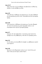## Luke 18:17

ἀμὴν λέγω ὑμῖν, ὃς ἂν μὴ δέξηται τὴν βασιλείαν τοῦ θεοῦ ὡς παιδίον, οὐ μὴ εἰσέλθῃ εἰς αὐτήν.

# John 6:39

τοῦτο δέ ἐστιν τὸ θέλημα τοῦ πέμψαντός με, ἵνα πᾶν ὃ δέδωκέν μοι μὴ ἀπολέσω ἐξ αὐτοῦ, ἀλλ' ἀναστήσω αὐτὸ [ἐν] τῇ ἐσχάτῃ ήμέρα.

# John 6:40

τοῦτο γάρ ἐστιν τὸ θέλημα τοῦ πατρός μου, ἵνα πᾶς ὁ θεωρῶν τὸν υἱὸν καὶ πιστεύων εἰς αὐτὸν ἔχῃ ζωὴν αἰώνιον, καὶ ἀναστήσω αὐτὸν ἐγὼ [ἐν] τῇ ἐσχάτῃ ἡμέρᾳ.

# John 9:17

λέγουσιν οὖν τῷ τυφλῷ πάλιν· τί σὺ λέγεις περὶ αὐτοῦ, ὅτι ἠνέῳξέν σου τοὺς ὀφθαλμούς; ὁ δὲ εἶπεν ὅτι προφήτης ἐστίν.

# John 9:32

ἐκ τοῦ αἰῶνος οὐκ ἠκούσθη ὅτι ἠνέῳξέν τις ὀφθαλμοὺς τυφλοῦ γεγεννημένου·

## John 9:40

ἤκουσαν ἐκ τῶν Φαρισαίων ταῦτα οἱ μετ' αὐτοῦ ὄντες καὶ εἶπον αὐτῷ· μὴ καὶ ἡμεῖς τυφλοί ἐσμεν;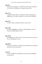### John 9:41

εἶπεν αὐτοῖς ὁ Ἰησοῦς· εἰ τυφλοὶ ἦτε, οὐκ ἂν εἴχετε ἁμαρτίαν· νῦν δὲ λέγετε ὅτι βλέπομεν, ἡ ἁμαρτία ὑμῶν μένει.

### John 11:37

τινὲς δὲ ἐξ αὐτῶν εἶπαν· οὐκ ἐδύνατο οὗτος ὁ ἀνοίξας τοὺς ὀφθαλμοὺς τοῦ τυφλοῦ ποιῆσαι ἵνα καὶ οὗτος μὴ ἀποθάνῃ;

#### John 13:17

εἰ ταῦτα οἴδατε, μακάριοί ἐστε ἐὰν ποιῆτε αὐτά.

#### John 13:32

[εἰ ὁ θεὸς ἐδοξάσθη ἐν αὐτῷ], καὶ ὁ θεὸς δοξάσει αὐτὸν ἐν αὐτῷ, καὶ εὐθὺς δοξάσει αὐτόν.

### John 18:30

ἀπεκρίθησαν καὶ εἶπαν αὐτῷ· εἰ μὴ ἦν οὗτος κακὸν ποιῶν, οὐκ ἄν σοι παρεδώκαμεν αὐτόν.

### John 20:29

λέγει αὐτῷ ὁ Ἰησοῦς· ὅτι ἑώρακάς με πεπίστευκας; μακάριοι οἱ μὴ ἰδόντες καὶ πιστεύσαντες.

### Acts 8:15

οἵτινες καταβάντες προσηύξαντο περὶ αὐτῶν ὅπως λάβωσιν πνεῦμα ἅγιον·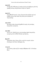## Acts 8:35

ἀνοίξας δὲ ὁ Φίλιππος τὸ στόμα αὐτοῦ καὶ ἀρξάμενος ἀπὸ τῆς γραφῆς ταύτης εὐηγγελίσατο αὐτῷ τὸν Ἰησοῦν.

# Acts 9:13

ἀπεκρίθη δὲ Ἁνανίας· κύριε, ἤκουσα ἀπὸ πολλῶν περὶ τοῦ ἀνδρὸς τούτου ὅσα κακὰ τοῖς ἁγίοις σου ἐποίησεν ἐν Ἰερουσαλήμ·

## Acts 13:32

Καὶ ἡμεῖς ὑμᾶς εὐαγγελιζόμεθα τὴν πρὸς τοὺς πατέρας ἐπαγγελίαν γενομένην,

# Acts 26:6

καὶ νῦν ἐπ' ἐλπίδι τῆς εἰς τοὺς πατέρας ἡμῶν ἐπαγγελίας γενομένης ὑπὸ τοῦ θεοῦ ἕστηκα κρινόμενος,

# Rom 9:9

ἐπαγγελίας γὰρ ὁ λόγος οὗτος· κατὰ τὸν καιρὸν τοῦτον ἐλεύσομαι καὶ ἔσται τῇ Σάρρᾳ υἱός.

# 1 Cor 2:5

ἵνα ἡ πίστις ὑμῶν μὴ ᾖ ἐν σοφίᾳ ἀνθρώπων ἀλλ' ἐν δυνάμει θεοῦ.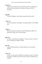# 2 Cor 4:13

Ἔχοντες δὲ τὸ αὐτὸ πνεῦμα τῆς πίστεως κατὰ τὸ γεγραμμένον· ἐπίστευσα, διὸ ἐλάλησα, καὶ ἡμεῖς πιστεύομεν, διὸ καὶ λαλοῦμεν,

# Gal 4:28

Ὑμεῖς δέ, ἀδελφοί, κατὰ Ἰσαὰκ ἐπαγγελίας τέκνα ἐστέ.

# 1 Tim 1:11

κατὰ τὸ εὐαγγέλιον τῆς δόξης τοῦ μακαρίου θεοῦ, ὃ ἐπιστεύθην ἐγώ.

# 2 Tim 1:1

Παῦλος ἀπόστολος Χριστοῦ Ἰησοῦ διὰ θελήματος θεοῦ κατ' ἐπαγγελίαν ζωῆς τῆς ἐν Χριστῷ Ἰησοῦ

# Heb 2:13

καὶ πάλιν· ἐγὼ ἔσομαι πεποιθὼς ἐπ' αὐτῷ, καὶ πάλιν· ἰδοὺ ἐγὼ καὶ τὰ παιδία ἅ μοι ἔδωκεν ὁ θεός.

## Jas 3:18

καρπὸς δὲ δικαιοσύνης ἐν εἰρήνῃ σπείρεται τοῖς ποιοῦσιν εἰρήνην.

# 1 Pet 1:21

τοὺς δι' αὐτοῦ πιστοὺς εἰς θεὸν τὸν ἐγείραντα αὐτὸν ἐκ νεκρῶν καὶ δόξαν αὐτῷ δόντα, ὥστε τὴν πίστιν ὑμῶν καὶ ἐλπίδα εἶναι εἰς θεόν.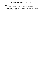## Rev 1:17

Καὶ ὅτε εἶδον αὐτόν, ἔπεσα πρὸς τοὺς πόδας αὐτοῦ ὡς νεκρός, καὶ ἔθηκεν τὴν δεξιὰν αὐτοῦ ἐπ' ἐμὲ λέγων· μὴ φοβοῦ· ἐγώ εἰμι ὁ πρῶτος καὶ ὁ ἔσχατος